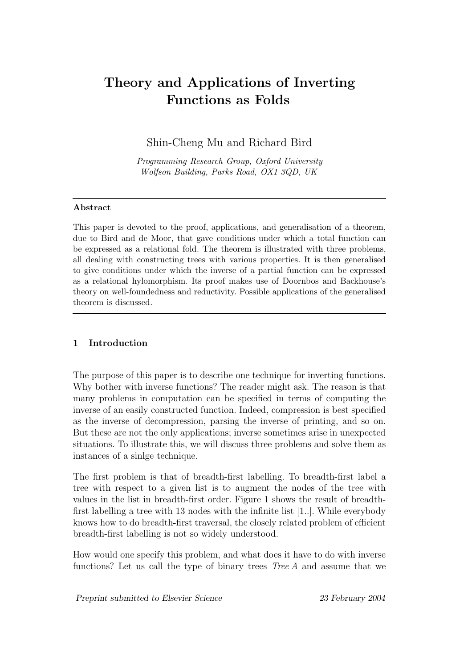# Theory and Applications of Inverting Functions as Folds

Shin-Cheng Mu and Richard Bird

Programming Research Group, Oxford University Wolfson Building, Parks Road, OX1 3QD, UK

# Abstract

This paper is devoted to the proof, applications, and generalisation of a theorem, due to Bird and de Moor, that gave conditions under which a total function can be expressed as a relational fold. The theorem is illustrated with three problems, all dealing with constructing trees with various properties. It is then generalised to give conditions under which the inverse of a partial function can be expressed as a relational hylomorphism. Its proof makes use of Doornbos and Backhouse's theory on well-foundedness and reductivity. Possible applications of the generalised theorem is discussed.

# 1 Introduction

The purpose of this paper is to describe one technique for inverting functions. Why bother with inverse functions? The reader might ask. The reason is that many problems in computation can be specified in terms of computing the inverse of an easily constructed function. Indeed, compression is best specified as the inverse of decompression, parsing the inverse of printing, and so on. But these are not the only applications; inverse sometimes arise in unexpected situations. To illustrate this, we will discuss three problems and solve them as instances of a sinlge technique.

The first problem is that of breadth-first labelling. To breadth-first label a tree with respect to a given list is to augment the nodes of the tree with values in the list in breadth-first order. Figure 1 shows the result of breadthfirst labelling a tree with 13 nodes with the infinite list [1..]. While everybody knows how to do breadth-first traversal, the closely related problem of efficient breadth-first labelling is not so widely understood.

How would one specify this problem, and what does it have to do with inverse functions? Let us call the type of binary trees  $Tree A$  and assume that we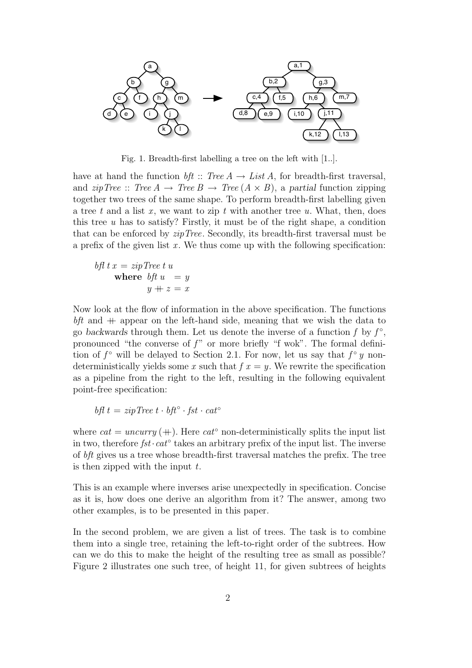

Fig. 1. Breadth-first labelling a tree on the left with [1..].

have at hand the function bft :: Tree  $A \rightarrow List A$ , for breadth-first traversal, and  $zipTree :: Tree A \rightarrow Tree B \rightarrow Tree (A \times B)$ , a partial function zipping together two trees of the same shape. To perform breadth-first labelling given a tree t and a list x, we want to zip t with another tree u. What, then, does this tree  $u$  has to satisfy? Firstly, it must be of the right shape, a condition that can be enforced by zipTree. Secondly, its breadth-first traversal must be a prefix of the given list  $x$ . We thus come up with the following specification:

$$
bft \; x = zip \, Tree \; t \; u
$$
\nwhere  $bft \; u = y$ 

\n
$$
y + z = x
$$

Now look at the flow of information in the above specification. The functions  $bf$  and  $+$  appear on the left-hand side, meaning that we wish the data to go backwards through them. Let us denote the inverse of a function  $f$  by  $f^{\circ}$ , pronounced "the converse of  $f$ " or more briefly "f wok". The formal definition of  $f^{\circ}$  will be delayed to Section 2.1. For now, let us say that  $f^{\circ} y$  nondeterministically yields some x such that  $f(x) = y$ . We rewrite the specification as a pipeline from the right to the left, resulting in the following equivalent point-free specification:

$$
bf \ t = zip \ Tree \ t \cdot bft^{\circ} \cdot fst \cdot cat^{\circ}
$$

where  $cat = uncurry$  (+). Here  $cat^{\circ}$  non-deterministically splits the input list in two, therefore  $fst \cdot cat^\circ$  takes an arbitrary prefix of the input list. The inverse of bft gives us a tree whose breadth-first traversal matches the prefix. The tree is then zipped with the input  $t$ .

This is an example where inverses arise unexpectedly in specification. Concise as it is, how does one derive an algorithm from it? The answer, among two other examples, is to be presented in this paper.

In the second problem, we are given a list of trees. The task is to combine them into a single tree, retaining the left-to-right order of the subtrees. How can we do this to make the height of the resulting tree as small as possible? Figure 2 illustrates one such tree, of height 11, for given subtrees of heights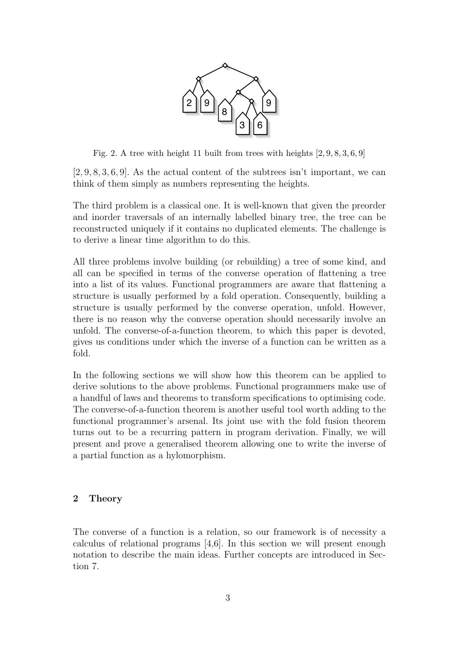

Fig. 2. A tree with height 11 built from trees with heights [2, 9, 8, 3, 6, 9]

 $[2, 9, 8, 3, 6, 9]$ . As the actual content of the subtrees isn't important, we can think of them simply as numbers representing the heights.

The third problem is a classical one. It is well-known that given the preorder and inorder traversals of an internally labelled binary tree, the tree can be reconstructed uniquely if it contains no duplicated elements. The challenge is to derive a linear time algorithm to do this.

All three problems involve building (or rebuilding) a tree of some kind, and all can be specified in terms of the converse operation of flattening a tree into a list of its values. Functional programmers are aware that flattening a structure is usually performed by a fold operation. Consequently, building a structure is usually performed by the converse operation, unfold. However, there is no reason why the converse operation should necessarily involve an unfold. The converse-of-a-function theorem, to which this paper is devoted, gives us conditions under which the inverse of a function can be written as a fold.

In the following sections we will show how this theorem can be applied to derive solutions to the above problems. Functional programmers make use of a handful of laws and theorems to transform specifications to optimising code. The converse-of-a-function theorem is another useful tool worth adding to the functional programmer's arsenal. Its joint use with the fold fusion theorem turns out to be a recurring pattern in program derivation. Finally, we will present and prove a generalised theorem allowing one to write the inverse of a partial function as a hylomorphism.

# 2 Theory

The converse of a function is a relation, so our framework is of necessity a calculus of relational programs [4,6]. In this section we will present enough notation to describe the main ideas. Further concepts are introduced in Section 7.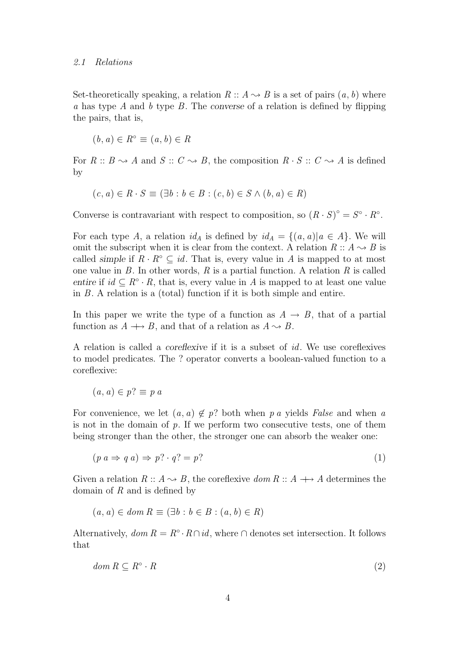Set-theoretically speaking, a relation  $R :: A \rightarrow B$  is a set of pairs  $(a, b)$  where a has type A and b type B. The converse of a relation is defined by flipping the pairs, that is,

$$
(b, a) \in R^{\circ} \equiv (a, b) \in R
$$

For  $R : B \rightarrow A$  and  $S : C \rightarrow B$ , the composition  $R \cdot S : C \rightarrow A$  is defined by

$$
(c, a) \in R \cdot S \equiv (\exists b : b \in B : (c, b) \in S \land (b, a) \in R)
$$

Converse is contravariant with respect to composition, so  $(R \cdot S)^{\circ} = S^{\circ} \cdot R^{\circ}$ .

For each type A, a relation  $id_A$  is defined by  $id_A = \{(a, a) | a \in A\}$ . We will omit the subscript when it is clear from the context. A relation  $R: A \rightarrow B$  is called simple if  $R \cdot R^{\circ} \subseteq id$ . That is, every value in A is mapped to at most one value in  $B$ . In other words,  $R$  is a partial function. A relation  $R$  is called entire if  $id \subseteq R^{\circ} \cdot R$ , that is, every value in A is mapped to at least one value in B. A relation is a (total) function if it is both simple and entire.

In this paper we write the type of a function as  $A \rightarrow B$ , that of a partial function as  $A \rightarrow B$ , and that of a relation as  $A \rightsquigarrow B$ .

A relation is called a coreflexive if it is a subset of id. We use coreflexives to model predicates. The ? operator converts a boolean-valued function to a coreflexive:

$$
(a, a) \in p? \equiv p \, a
$$

For convenience, we let  $(a, a) \notin p$ ? both when p a yields False and when a is not in the domain of  $p$ . If we perform two consecutive tests, one of them being stronger than the other, the stronger one can absorb the weaker one:

$$
(p \ a \Rightarrow q \ a) \Rightarrow p? \cdot q? = p?
$$
 (1)

Given a relation  $R :: A \rightarrow B$ , the coreflexive dom  $R :: A \rightarrow A$  determines the domain of  $R$  and is defined by

$$
(a, a) \in dom R \equiv (\exists b : b \in B : (a, b) \in R)
$$

Alternatively,  $dom R = R^{\circ} \cdot R \cap id$ , where  $\cap$  denotes set intersection. It follows that

$$
dom R \subseteq R^\circ \cdot R \tag{2}
$$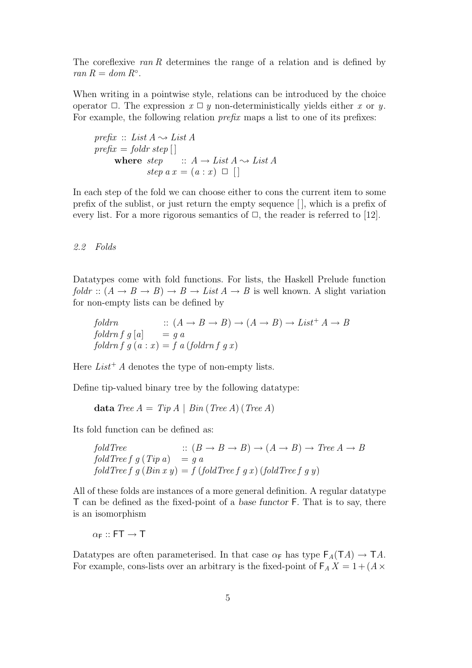The coreflexive ran R determines the range of a relation and is defined by  $ran R = dom R<sup>°</sup>.$ 

When writing in a pointwise style, relations can be introduced by the choice operator  $\Box$ . The expression  $x \Box y$  non-deterministically yields either x or y. For example, the following relation *prefix* maps a list to one of its prefixes:

```
prefix :: List A \rightarrow List A
prefix = foldr\,step[]
      where step :: A \rightarrow List A \rightsquigarrow List Astep a x = (a : x) \square
```
In each step of the fold we can choose either to cons the current item to some prefix of the sublist, or just return the empty sequence [ ], which is a prefix of every list. For a more rigorous semantics of  $\Box$ , the reader is referred to [12].

# 2.2 Folds

Datatypes come with fold functions. For lists, the Haskell Prelude function foldr ::  $(A \rightarrow B \rightarrow B) \rightarrow B \rightarrow List A \rightarrow B$  is well known. A slight variation for non-empty lists can be defined by

foldrn ::  $(A \to B \to B) \to (A \to B) \to List^+ A \to B$ foldrn f g  $[a]$  = g a foldrn f  $q(a : x) = f(a)$  (foldrn f q x)

Here  $List^+ A$  denotes the type of non-empty lists.

Define tip-valued binary tree by the following datatype:

data Tree  $A = Tip A | Bin (Tree A) (Tree A)$ 

Its fold function can be defined as:

$$
foldTree :: (B \to B \to B) \to (A \to B) \to Tree A \to B
$$
  

$$
foldTree f g (Tip a) = g a
$$
  

$$
foldTree f g (Bin x y) = f (foldTree f g x) (foldTree f g y)
$$

All of these folds are instances of a more general definition. A regular datatype T can be defined as the fixed-point of a base functor F. That is to say, there is an isomorphism

 $\alpha$ <sub>F</sub> :: FT  $\rightarrow$  T

Datatypes are often parameterised. In that case  $\alpha_F$  has type  $F_A(TA) \to TA$ . For example, cons-lists over an arbitrary is the fixed-point of  $\mathsf{F}_A X = 1 + (A \times$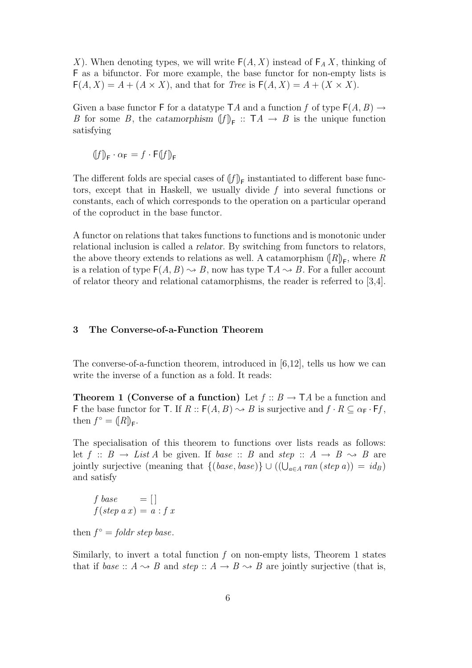X). When denoting types, we will write  $F(A, X)$  instead of  $F_A X$ , thinking of F as a bifunctor. For more example, the base functor for non-empty lists is  $F(A, X) = A + (A \times X)$ , and that for *Tree* is  $F(A, X) = A + (X \times X)$ .

Given a base functor F for a datatype TA and a function f of type  $F(A, B) \rightarrow$ B for some B, the catamorphism  $[f]_F$ :  $TA \rightarrow B$  is the unique function satisfying

 $(f)_{\mathsf{F}} \cdot \alpha_{\mathsf{F}} = f \cdot \mathsf{F}(f)_{\mathsf{F}}$ 

The different folds are special cases of  $(f)$ <sub>F</sub> instantiated to different base functors, except that in Haskell, we usually divide f into several functions or constants, each of which corresponds to the operation on a particular operand of the coproduct in the base functor.

A functor on relations that takes functions to functions and is monotonic under relational inclusion is called a relator. By switching from functors to relators, the above theory extends to relations as well. A catamorphism  $(R)_{\mathsf{F}}$ , where R is a relation of type  $F(A, B) \rightsquigarrow B$ , now has type  $TA \rightsquigarrow B$ . For a fuller account of relator theory and relational catamorphisms, the reader is referred to [3,4].

#### 3 The Converse-of-a-Function Theorem

The converse-of-a-function theorem, introduced in [6,12], tells us how we can write the inverse of a function as a fold. It reads:

**Theorem 1 (Converse of a function)** Let  $f :: B \rightarrow \mathsf{T}A$  be a function and F the base functor for T. If  $R :: F(A, B) \rightarrow B$  is surjective and  $f \cdot R \subseteq \alpha_F \cdot Ff$ , then  $f^{\circ} = ([R])_{\mathsf{F}}$ .

The specialisation of this theorem to functions over lists reads as follows: let  $f :: B \rightarrow List A$  be given. If base :: B and step ::  $A \rightarrow B \rightsquigarrow B$  are jointly surjective (meaning that  $\{(base, base)\} \cup ((\bigcup_{a \in A} ran(step a)) = id_B)$ and satisfy

$$
\begin{array}{rcl} f \ base & = [] \\ f(\ step \ a \ x) & = a : f \ x \end{array}
$$

then  $f^{\circ} = foldr$  step base.

Similarly, to invert a total function  $f$  on non-empty lists, Theorem 1 states that if base ::  $A \rightarrow B$  and step ::  $A \rightarrow B \rightarrow B$  are jointly surjective (that is,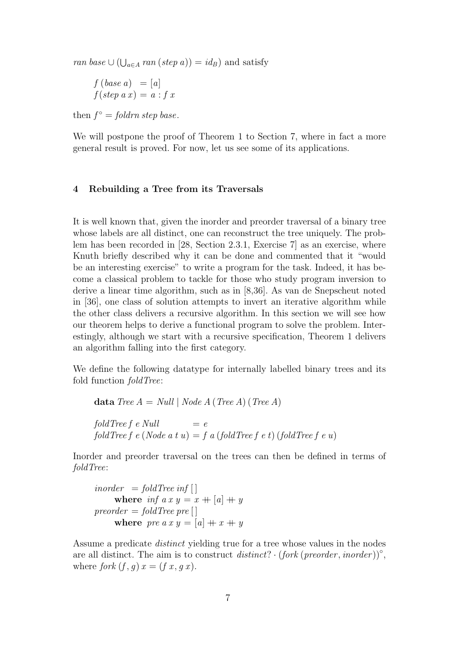ran base  $\cup$  ( $\bigcup_{a \in A}$  ran (step a)) = id<sub>B</sub>) and satisfy

$$
f (base a) = [a]
$$
  

$$
f (step a x) = a : f x
$$

then  $f^{\circ} = \text{foldrn step base}.$ 

We will postpone the proof of Theorem 1 to Section 7, where in fact a more general result is proved. For now, let us see some of its applications.

# 4 Rebuilding a Tree from its Traversals

It is well known that, given the inorder and preorder traversal of a binary tree whose labels are all distinct, one can reconstruct the tree uniquely. The problem has been recorded in [28, Section 2.3.1, Exercise 7] as an exercise, where Knuth briefly described why it can be done and commented that it "would be an interesting exercise" to write a program for the task. Indeed, it has become a classical problem to tackle for those who study program inversion to derive a linear time algorithm, such as in [8,36]. As van de Snepscheut noted in [36], one class of solution attempts to invert an iterative algorithm while the other class delivers a recursive algorithm. In this section we will see how our theorem helps to derive a functional program to solve the problem. Interestingly, although we start with a recursive specification, Theorem 1 delivers an algorithm falling into the first category.

We define the following datatype for internally labelled binary trees and its fold function foldTree:

data Tree  $A = Null | Node A (Tree A) (Tree A)$  $foldTree f e Null = e$ foldTree f e (Node a t u) = f a (foldTree f e t) (foldTree f e u)

Inorder and preorder traversal on the trees can then be defined in terms of foldTree:

$$
inorder = foldTree inf []
$$
  
where  $inf a x y = x + [a] + y$   
preorder = foldTree pre []  
where pre a x y = [a] + x + y

Assume a predicate distinct yielding true for a tree whose values in the nodes are all distinct. The aim is to construct  $distinct? \cdot (fork (preorder, inorder))^\circ$ , where fork  $(f, g) x = (f x, g x)$ .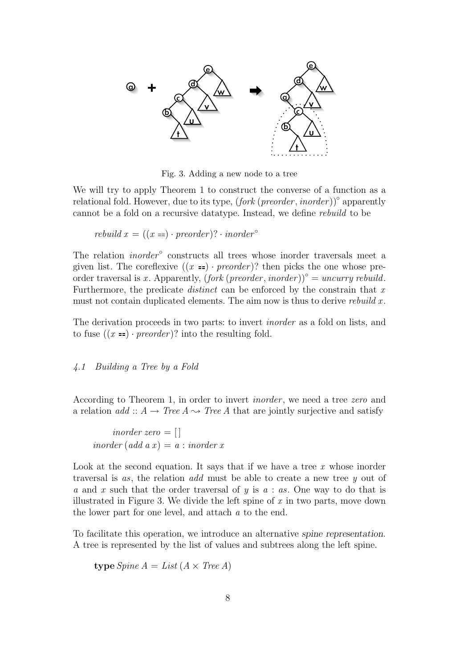

Fig. 3. Adding a new node to a tree

We will try to apply Theorem 1 to construct the converse of a function as a relational fold. However, due to its type,  $(fork (preorder, inorder))^\circ$  apparently cannot be a fold on a recursive datatype. Instead, we define rebuild to be

rebuild  $x = ((x ==) \cdot preorder)? \cdot inorder^{\circ}$ 

The relation  $inorder^{\circ}$  constructs all trees whose inorder traversals meet a given list. The coreflexive  $((x =) \cdot preorder)?$  then picks the one whose preorder traversal is x. Apparently,  $(fork (preorder, inorder))^{\circ} = uncurry$  rebuild. Furthermore, the predicate *distinct* can be enforced by the constrain that  $x$ must not contain duplicated elements. The aim now is thus to derive rebuild  $x$ .

The derivation proceeds in two parts: to invert inorder as a fold on lists, and to fuse  $((x ==) \cdot preorder)$ ? into the resulting fold.

#### 4.1 Building a Tree by a Fold

According to Theorem 1, in order to invert inorder , we need a tree zero and a relation  $add :: A \rightarrow Tree A \rightsquigarrow Tree A$  that are jointly surjective and satisfy

inorder zero  $=$  [] inorder (add  $a x$ ) =  $a : inorder x$ 

Look at the second equation. It says that if we have a tree  $x$  whose inorder traversal is as, the relation add must be able to create a new tree y out of a and x such that the order traversal of y is  $a : as.$  One way to do that is illustrated in Figure 3. We divide the left spine of  $x$  in two parts, move down the lower part for one level, and attach a to the end.

To facilitate this operation, we introduce an alternative spine representation. A tree is represented by the list of values and subtrees along the left spine.

**type** *Spine* 
$$
A = List (A \times Tree A)
$$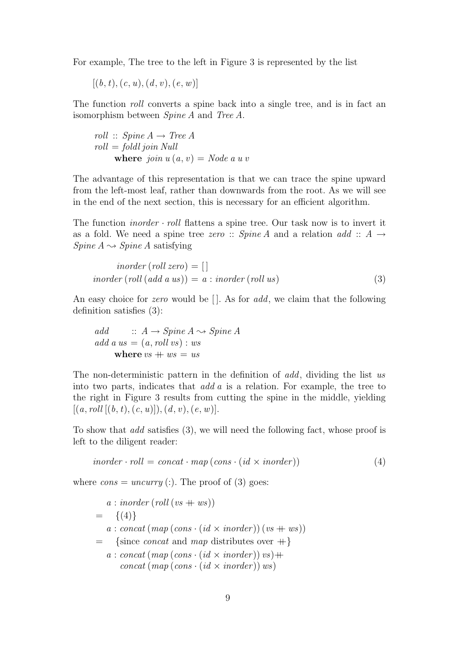For example, The tree to the left in Figure 3 is represented by the list

$$
\left[(b,t),(c,u),(d,v),(e,w)\right]
$$

The function roll converts a spine back into a single tree, and is in fact an isomorphism between Spine A and Tree A.

$$
roll :: Spine A \rightarrow Tree A
$$
  
roll = foldl join Null  
**where** join  $u(a, v) = Node \ a \ u \ v$ 

The advantage of this representation is that we can trace the spine upward from the left-most leaf, rather than downwards from the root. As we will see in the end of the next section, this is necessary for an efficient algorithm.

The function *inorder*  $\cdot$  *roll* flattens a spine tree. Our task now is to invert it as a fold. We need a spine tree zero :: Spine A and a relation add ::  $A \rightarrow$ Spine  $A \rightarrow Spine A$  satisfying

$$
inorder (roll zero) = []
$$
  
inorder (roll (add a us)) = a : inorder (roll us) (3)

An easy choice for *zero* would be  $\Box$ . As for *add*, we claim that the following definition satisfies (3):

add  $:: A \rightarrow Spine A \rightarrow Spine A$ add a us  $= (a, roll vs) : ws$ where  $vs + ws = us$ 

The non-deterministic pattern in the definition of add, dividing the list us into two parts, indicates that  $add\ a$  is a relation. For example, the tree to the right in Figure 3 results from cutting the spine in the middle, yielding  $[(a, roll [(b, t), (c, u)]), (d, v), (e, w)].$ 

To show that add satisfies (3), we will need the following fact, whose proof is left to the diligent reader:

$$
in order \cdot roll = concat \cdot map (cons \cdot (id \times inorder)) \tag{4}
$$

where  $cons = uncurry$  (:). The proof of (3) goes:

$$
a: inorder (roll (vs + ws))
$$
  
= {(4)}  

$$
a: concat (map (cons \cdot (id \times inorder)) (vs + ws))
$$
  
= {since concat and map distributes over +}  

$$
a: concat (map (cons \cdot (id \times inorder)) vs) +concat (map (cons \cdot (id \times inorder)) ws)
$$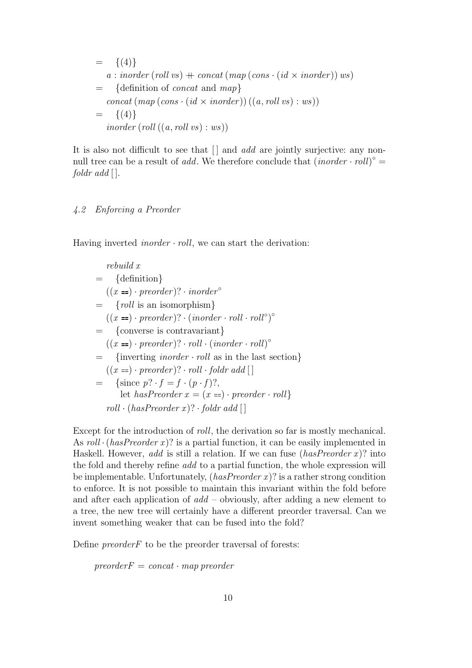$$
= \{(4)\}\
$$
  
\n
$$
a: inorder\ (roll\ vs) + concat\ (map\ (cons \cdot (id \times inorder))\ ws)
$$
  
\n
$$
= \{definition\ of\ concat\ and\ map\}
$$
  
\n
$$
concat\ (map\ (cons \cdot (id \times inorder))\ ((a, roll\ vs) : ws))
$$
  
\n
$$
= \{(4)\}\
$$
  
\n
$$
inorder\ (roll\ ((a, roll\ vs) : ws))
$$

It is also not difficult to see that  $\lfloor \cdot \rfloor$  and add are jointly surjective: any nonnull tree can be a result of *add*. We therefore conclude that  $(inorder \cdot roll)^{\circ} =$  $foldr$  add  $[$ ].

# 4.2 Enforcing a Preorder

Having inverted *inorder*  $\cdot$  *roll*, we can start the derivation:

rebuild x = {definition}  $((x ==) \cdot preorder)? \cdot inorder^{\circ}$  $=$  {roll is an isomorphism}  $((x ==) \cdot preorder)? \cdot (inorder \cdot roll \cdot roll^{\circ})^{\circ}$ = {converse is contravariant}  $((x == · preorder)$ ? · roll ·  $(inorder · roll)$ °  $=$  {inverting *inorder · roll* as in the last section}  $((x ==) \cdot preorder)? \cdot roll \cdot foldr \ add \ [$ {since  $p? \cdot f = f \cdot (p \cdot f)$ ?, let hasPreorder  $x = (x ==) \cdot preorder \cdot roll$  $roll \cdot (hasPreorder x)? \cdot fold r \ add \lceil$ 

Except for the introduction of roll, the derivation so far is mostly mechanical. As roll  $\cdot$  (has Preorder x)? is a partial function, it can be easily implemented in Haskell. However, add is still a relation. If we can fuse  $(hasPreorder x)$ ? into the fold and thereby refine add to a partial function, the whole expression will be implementable. Unfortunately,  $(hasPreorder x)$ ? is a rather strong condition to enforce. It is not possible to maintain this invariant within the fold before and after each application of  $add -$  obviously, after adding a new element to a tree, the new tree will certainly have a different preorder traversal. Can we invent something weaker that can be fused into the fold?

Define  $preorder F$  to be the preorder traversal of forests:

 $preorderF = concat \cdot map$  preorder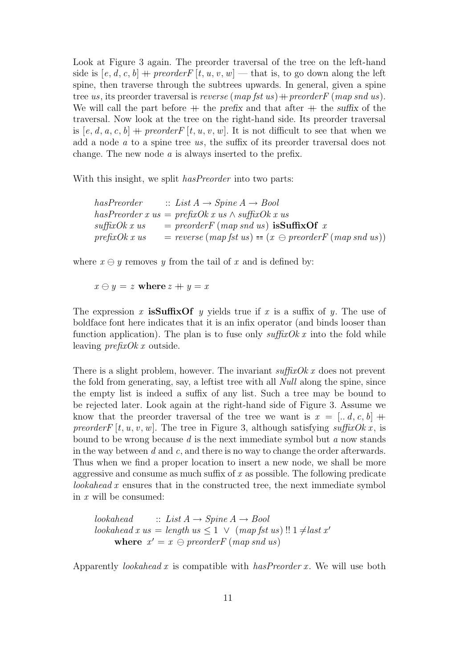Look at Figure 3 again. The preorder traversal of the tree on the left-hand side is  $[e, d, c, b]$  + preorder  $F[t, u, v, w]$  – that is, to go down along the left spine, then traverse through the subtrees upwards. In general, given a spine tree us, its preorder traversal is reverse  $(map ft us) + preorder F (map sn d us)$ . We will call the part before  $+$  the prefix and that after  $+$  the suffix of the traversal. Now look at the tree on the right-hand side. Its preorder traversal is [e, d, a, c, b] + preorder  $F[t, u, v, w]$ . It is not difficult to see that when we add a node a to a spine tree us, the suffix of its preorder traversal does not change. The new node a is always inserted to the prefix.

With this insight, we split  $hasPreorder$  into two parts:

| has Preorder             | $\therefore$ List $A \rightarrow Spine A \rightarrow Bool$                                                                        |
|--------------------------|-----------------------------------------------------------------------------------------------------------------------------------|
|                          | hasPreorder x us = prefixOk x us $\wedge$ suffixOk x us                                                                           |
| $\textit{suffixOk x us}$ | $=$ preorder F (map snd us) is Suffix Of x                                                                                        |
| prefixOk x us            | $= \text{reverse} (\text{map } \text{fst } \text{us}) = (x \ominus \text{preorder} \text{F} (\text{map } \text{snd } \text{us}))$ |

where  $x \ominus y$  removes y from the tail of x and is defined by:

 $x \ominus y = z$  where  $z + y = x$ 

The expression x is Suffix Of y yields true if x is a suffix of y. The use of boldface font here indicates that it is an infix operator (and binds looser than function application). The plan is to fuse only  $\textit{suffixOk } x$  into the fold while leaving prefixOk x outside.

There is a slight problem, however. The invariant  $\textit{suffixOk } x$  does not prevent the fold from generating, say, a leftist tree with all Null along the spine, since the empty list is indeed a suffix of any list. Such a tree may be bound to be rejected later. Look again at the right-hand side of Figure 3. Assume we know that the preorder traversal of the tree we want is  $x = [d, d, c, b]$  + preorder  $F[t, u, v, w]$ . The tree in Figure 3, although satisfying suffix Ok x, is bound to be wrong because  $d$  is the next immediate symbol but  $a$  now stands in the way between d and c, and there is no way to change the order afterwards. Thus when we find a proper location to insert a new node, we shall be more aggressive and consume as much suffix of x as possible. The following predicate lookahead x ensures that in the constructed tree, the next immediate symbol in x will be consumed:

 $look ahead :: List A \rightarrow Spine A \rightarrow Bool$  $look ahead x us = length us \leq 1 \vee (mapfst us)!! 1 \neq last x'$ where  $x' = x \ominus preorderF (map\, end\, us)$ 

Apparently *lookahead* x is compatible with *hasPreorder x*. We will use both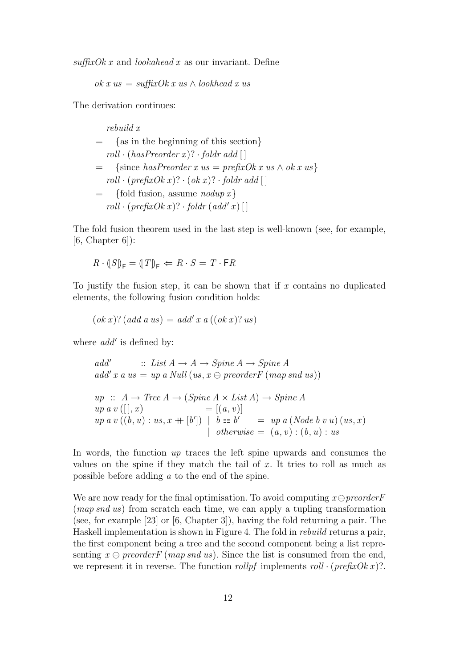$\textit{suffixOk } x$  and *lookahead* x as our invariant. Define

ok x us = suffixOk x us  $\wedge$  lookhead x us

The derivation continues:

rebuild x = {as in the beginning of this section}  $roll \cdot (hasPreorder x)? \cdot fold r add []$  $=$  {since hasPreorder x us = prefixOk x us  $\wedge$  ok x us}  $roll \cdot (prefixOk x)? \cdot (ok x)? \cdot foldr add []$  $=$  {fold fusion, assume *nodup x*}  $roll \cdot (prefixOk x)? \cdot foldr (add' x)$ 

The fold fusion theorem used in the last step is well-known (see, for example,  $[6, Chapter 6]$ :

$$
R \cdot (S)_{\mathsf{F}} = (T)_{\mathsf{F}} \Leftarrow R \cdot S = T \cdot \mathsf{F} R
$$

To justify the fusion step, it can be shown that if  $x$  contains no duplicated elements, the following fusion condition holds:

$$
(ok x)? (add a us) = add' x a ((ok x)? us)
$$

where  $add'$  is defined by:

$$
add' \quad :: List A \rightarrow A \rightarrow Spine A \rightarrow Spine A
$$
  

$$
add' x a us = up a Null (us, x \ominus preorder F (map sn d us))
$$

$$
up :: A \rightarrow Tree A \rightarrow (Spine A \times List A) \rightarrow Spine A
$$
  
\n
$$
up a v ([], x) = [(a, v)]
$$
  
\n
$$
up a v ((b, u) : us, x + [b']) | b == b' = up a (Node b v u) (us, x)
$$
  
\n
$$
| otherwise = (a, v) : (b, u) : us
$$

In words, the function  $up$  traces the left spine upwards and consumes the values on the spine if they match the tail of  $x$ . It tries to roll as much as possible before adding a to the end of the spine.

We are now ready for the final optimisation. To avoid computing  $x \ominus preorder$ (map snd us) from scratch each time, we can apply a tupling transformation (see, for example [23] or [6, Chapter 3]), having the fold returning a pair. The Haskell implementation is shown in Figure 4. The fold in rebuild returns a pair, the first component being a tree and the second component being a list representing  $x \ominus preorderF$  (map snd us). Since the list is consumed from the end, we represent it in reverse. The function *rollpf* implements  $roll \cdot (prefixOk x)$ .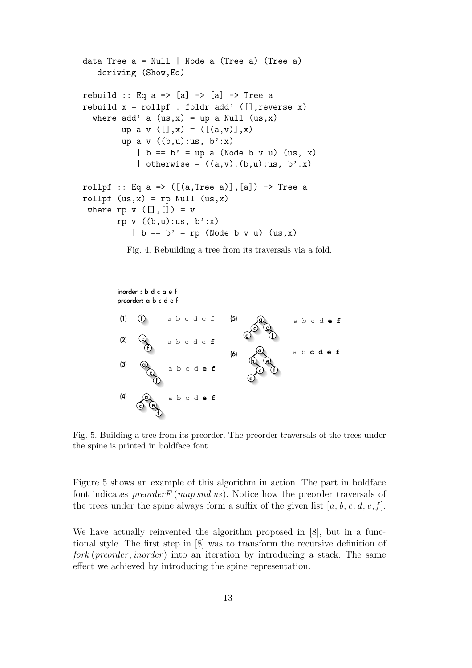```
data Tree a = Null | Node a (Tree a) (Tree a)
   deriving (Show,Eq)
rebuild :: Eq a => [a] -> [a] -> Tree a
rebuild x = rollpf . foldr add' ([], reverse x)
  where add' a (us,x) = up a Null (us,x)up a v ([], x = ([((a, v)], x)
        up a v ((b,u):us, b':x)| b == b' = up a (Node b v u) (us, x)
            | otherwise = ((a,v):(b,u):us, b':x)rollpf :: Eq a => ([a, Tree a)], [a]) \rightarrow Tree arollpf (us,x) = rp Null (us,x)where rp \ v ([], []) = vrp v ((b,u):us, b':x)\vert b \vert = b' = rp (Node b v u) (us, x)
```
Fig. 4. Rebuilding a tree from its traversals via a fold.



Fig. 5. Building a tree from its preorder. The preorder traversals of the trees under the spine is printed in boldface font.

Figure 5 shows an example of this algorithm in action. The part in boldface font indicates *preorderF* (*map snd us*). Notice how the preorder traversals of the trees under the spine always form a suffix of the given list [a, b, c, d, e, f].

We have actually reinvented the algorithm proposed in [8], but in a functional style. The first step in [8] was to transform the recursive definition of fork (preorder, inorder) into an iteration by introducing a stack. The same effect we achieved by introducing the spine representation.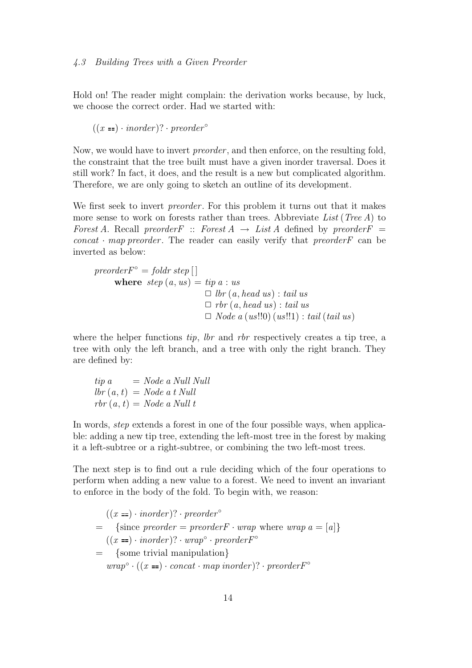Hold on! The reader might complain: the derivation works because, by luck, we choose the correct order. Had we started with:

 $((x == \cdot inorder)? \cdot preorder^{\circ})$ 

Now, we would have to invert *preorder*, and then enforce, on the resulting fold, the constraint that the tree built must have a given inorder traversal. Does it still work? In fact, it does, and the result is a new but complicated algorithm. Therefore, we are only going to sketch an outline of its development.

We first seek to invert *preorder*. For this problem it turns out that it makes more sense to work on forests rather than trees. Abbreviate List (Tree A) to Forest A. Recall preorder  $F$ : Forest  $A \rightarrow List \, A$  defined by preorder  $F =$  $concat \cdot map preorder$ . The reader can easily verify that preorder F can be inverted as below:

preorder 
$$
F^{\circ}
$$
 = fold  $r$  step  $\left[ \right]$ 

\nwhere  $step(a, us) = tip a : us$ 

\n $\Box$   $lbr(a, head us) : tail us$ 

\n $\Box$   $rbr(a, head us) : tail us$ 

\n $\Box$   $Node a (us!!0) (us!!1) : tail (tail us)$ 

where the helper functions *tip*, *lbr* and *rbr* respectively creates a tip tree, a tree with only the left branch, and a tree with only the right branch. They are defined by:

 $tip \ a \qquad = Node \ a \ Null \ Null$  $lbr (a, t) = Node a t Null$  $rbr(a, t) = Node a Null t$ 

In words, step extends a forest in one of the four possible ways, when applicable: adding a new tip tree, extending the left-most tree in the forest by making it a left-subtree or a right-subtree, or combining the two left-most trees.

The next step is to find out a rule deciding which of the four operations to perform when adding a new value to a forest. We need to invent an invariant to enforce in the body of the fold. To begin with, we reason:

$$
((x ==) \cdot inorder)? \cdot preorder^{\circ}
$$
\n
$$
= {since preorder = preorderF \cdot wrap \text{ where } wrap a = [a]}
$$
\n
$$
((x ==) \cdot inorder)? \cdot wrap^{\circ} \cdot preorderF^{\circ}
$$
\n
$$
= {some trivial manipulation}
$$
\n
$$
wrap^{\circ} \cdot ((x ==) \cdot concat \cdot map inorder)? \cdot preorderF^{\circ}
$$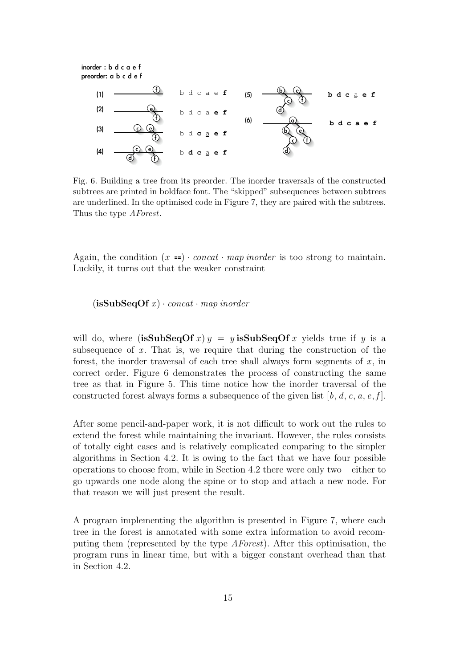inorder : b d c a e f preorder: a b c d e f



Fig. 6. Building a tree from its preorder. The inorder traversals of the constructed subtrees are printed in boldface font. The "skipped" subsequences between subtrees are underlined. In the optimised code in Figure 7, they are paired with the subtrees. Thus the type AForest.

Again, the condition  $(x ==) \cdot concat \cdot map inorder$  is too strong to maintain. Luckily, it turns out that the weaker constraint

 $(i$ sSubSeqOf x $)$  · concat · map inorder

will do, where (isSubSeqOf x)  $y = y$  isSubSeqOf x yields true if y is a subsequence of  $x$ . That is, we require that during the construction of the forest, the inorder traversal of each tree shall always form segments of  $x$ , in correct order. Figure 6 demonstrates the process of constructing the same tree as that in Figure 5. This time notice how the inorder traversal of the constructed forest always forms a subsequence of the given list  $[b, d, c, a, e, f]$ .

After some pencil-and-paper work, it is not difficult to work out the rules to extend the forest while maintaining the invariant. However, the rules consists of totally eight cases and is relatively complicated comparing to the simpler algorithms in Section 4.2. It is owing to the fact that we have four possible operations to choose from, while in Section 4.2 there were only two – either to go upwards one node along the spine or to stop and attach a new node. For that reason we will just present the result.

A program implementing the algorithm is presented in Figure 7, where each tree in the forest is annotated with some extra information to avoid recomputing them (represented by the type AForest). After this optimisation, the program runs in linear time, but with a bigger constant overhead than that in Section 4.2.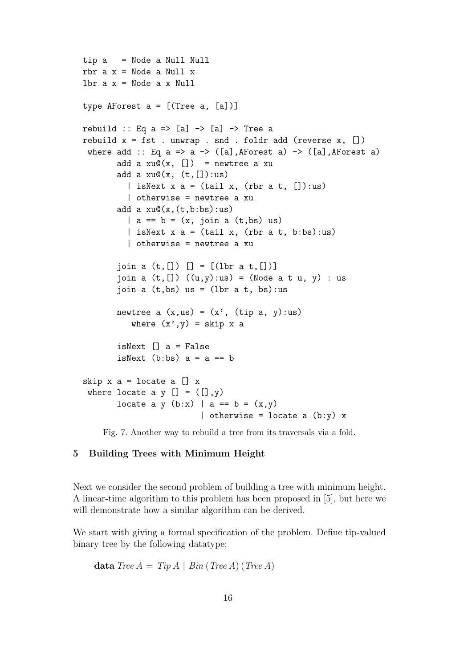```
tip a = Node a Null Null
rbr a x = Node a Null xlbr a x = Node a x Null
type AForest a = [(Tree a, [a])]
rebuild :: Eq a => [a] -> [a] -> Tree a
rebuild x = fst. unwrap. snd. foldr add (reverse x, [])
where add :: Eq a => a -> ([a], AForest a) -> ([a], AForest a)
       add a xu@(x, [] = newtree a xu
       add a xu@(x, (t, []):us)| isNext x = (tail x, (rbr a t, []):us)| otherwise = newtree a xu
       add a xu@(x,(t,b:bs):us)| a == b = (x, join a (t, bs) us)| isNext x = (tail x, (rbr a t, b:bs):us)| otherwise = newtree a xu
       join a (t, []) [] = [(lbr a t, [])]join a (t, []) ((u,y):us) = (Node a t u, y) : usjoin a (t, bs) us = (lbr \ a \ t, bs): us
       newtree a (x,us) = (x', (tip a, y):us)where (x', y) = skip x a
       isNext [] a = False
       isNext (b:bs) a = a == b
skip x a = locate a [] x
where locate a y [] = ([], y)locate a y (b:x) | a == b = (x,y)| otherwise = locate a (b:y) x
```
Fig. 7. Another way to rebuild a tree from its traversals via a fold.

## 5 Building Trees with Minimum Height

Next we consider the second problem of building a tree with minimum height. A linear-time algorithm to this problem has been proposed in [5], but here we will demonstrate how a similar algorithm can be derived.

We start with giving a formal specification of the problem. Define tip-valued binary tree by the following datatype:

data Tree  $A = Tip A | Bin (Tree A) (Tree A)$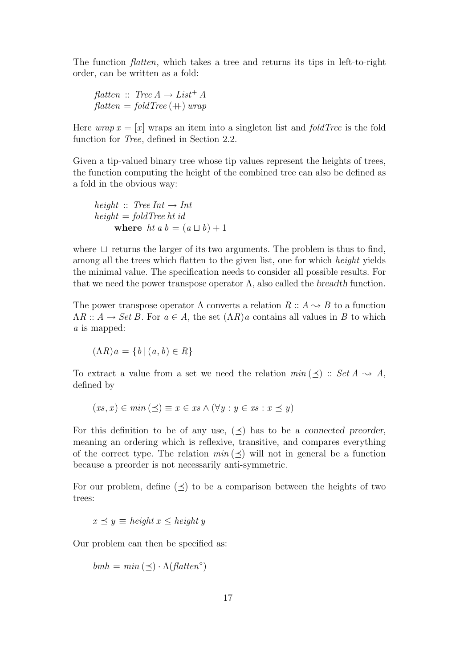The function flatten, which takes a tree and returns its tips in left-to-right order, can be written as a fold:

flatten :: Tree  $A \rightarrow List^{+} A$  $\text{flatten} = \text{foldTree}(+)$  wrap

Here wrap  $x = [x]$  wraps an item into a singleton list and *foldTree* is the fold function for Tree, defined in Section 2.2.

Given a tip-valued binary tree whose tip values represent the heights of trees, the function computing the height of the combined tree can also be defined as a fold in the obvious way:

height :: Tree Int  $\rightarrow$  Int  $height = foldTree$  ht id where ht a  $b = (a \sqcup b) + 1$ 

where  $\Box$  returns the larger of its two arguments. The problem is thus to find, among all the trees which flatten to the given list, one for which height yields the minimal value. The specification needs to consider all possible results. For that we need the power transpose operator  $\Lambda$ , also called the *breadth* function.

The power transpose operator  $\Lambda$  converts a relation  $R :: A \leadsto B$  to a function  $\Lambda R :: A \to Set B$ . For  $a \in A$ , the set  $(\Lambda R)a$  contains all values in B to which a is mapped:

$$
(\Lambda R)a = \{b \mid (a, b) \in R\}
$$

To extract a value from a set we need the relation  $min(\prec)$ :  $Set A \rightsquigarrow A$ , defined by

$$
(xs, x) \in min(\preceq) \equiv x \in xs \land (\forall y : y \in xs : x \preceq y)
$$

For this definition to be of any use,  $(\prec)$  has to be a connected preorder, meaning an ordering which is reflexive, transitive, and compares everything of the correct type. The relation  $min (\prec)$  will not in general be a function because a preorder is not necessarily anti-symmetric.

For our problem, define  $(\prec)$  to be a comparison between the heights of two trees:

$$
x \preceq y \equiv \text{height } x \leq \text{height } y
$$

Our problem can then be specified as:

$$
bmh = min(\preceq) \cdot \Lambda(flatten^{\circ})
$$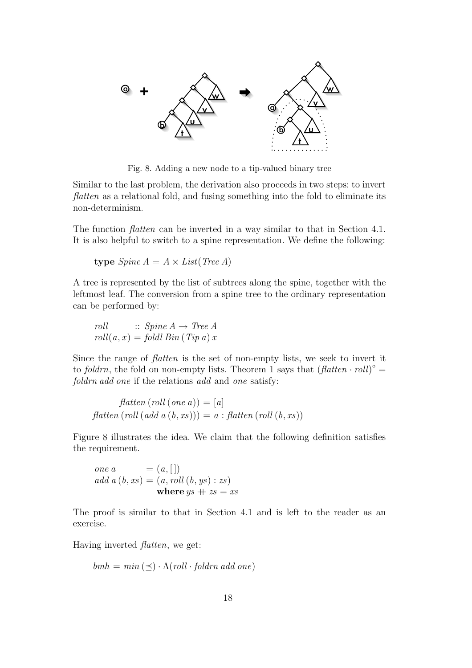

Fig. 8. Adding a new node to a tip-valued binary tree

Similar to the last problem, the derivation also proceeds in two steps: to invert flatten as a relational fold, and fusing something into the fold to eliminate its non-determinism.

The function flatten can be inverted in a way similar to that in Section 4.1. It is also helpful to switch to a spine representation. We define the following:

$$
type\text{ }Spine\text{ }A = A \times List(\text{Tree }A)
$$

A tree is represented by the list of subtrees along the spine, together with the leftmost leaf. The conversion from a spine tree to the ordinary representation can be performed by:

roll :: Spine 
$$
A \to Tree A
$$
  
roll $(a, x) = foldl Bin (Tip a) x$ 

Since the range of flatten is the set of non-empty lists, we seek to invert it to foldrn, the fold on non-empty lists. Theorem 1 says that  $(flatten \cdot roll)^{\circ} =$ foldrn add one if the relations add and one satisfy:

 $f$ *flatten*  $(roll (one a)) = [a]$  $f$ latten (roll (add a  $(b, xs)) = a : f$ latten (roll  $(b, xs)$ )

Figure 8 illustrates the idea. We claim that the following definition satisfies the requirement.

one a = 
$$
(a, [])
$$
  
add a  $(b, xs) = (a, roll (b, ys) : zs)$   
where  $ys + zs = xs$ 

The proof is similar to that in Section 4.1 and is left to the reader as an exercise.

Having inverted flatten, we get:

$$
bmh = min(\preceq) \cdot \Lambda(roll \cdot foldrn \text{ add one})
$$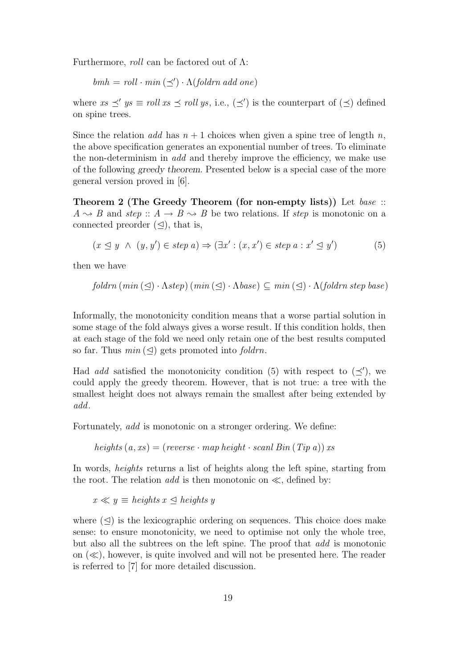Furthermore, roll can be factored out of  $\Lambda$ :

$$
bmh = roll \cdot min(\preceq') \cdot \Lambda(foldrn \text{ add one})
$$

where  $xs \preceq' ys \equiv roll xs \preceq roll ys$ , i.e.,  $(\preceq')$  is the counterpart of  $(\preceq)$  defined on spine trees.

Since the relation add has  $n + 1$  choices when given a spine tree of length n, the above specification generates an exponential number of trees. To eliminate the non-determinism in add and thereby improve the efficiency, we make use of the following greedy theorem. Presented below is a special case of the more general version proved in [6].

Theorem 2 (The Greedy Theorem (for non-empty lists)) Let base ::  $A \rightarrow B$  and step ::  $A \rightarrow B \rightarrow B$  be two relations. If step is monotonic on a connected preorder  $(\triangleleft)$ , that is,

$$
(x \leq y \land (y, y') \in \text{step } a) \Rightarrow (\exists x' : (x, x') \in \text{step } a : x' \leq y')
$$
 (5)

then we have

$$
foldrn (min (\trianglelefteq) \cdot \Lambda step) (min (\trianglelefteq) \cdot \Lambda base) \subseteq min (\trianglelefteq) \cdot \Lambda (foldrn step base)
$$

Informally, the monotonicity condition means that a worse partial solution in some stage of the fold always gives a worse result. If this condition holds, then at each stage of the fold we need only retain one of the best results computed so far. Thus  $min(\leq)$  gets promoted into *foldrn*.

Had add satisfied the monotonicity condition (5) with respect to  $(\preceq')$ , we could apply the greedy theorem. However, that is not true: a tree with the smallest height does not always remain the smallest after being extended by add.

Fortunately, add is monotonic on a stronger ordering. We define:

heights  $(a, xs) = (reverse \cdot map \, height \cdot scanl \, Bin \, (Tip \, a)) \, xs$ 

In words, heights returns a list of heights along the left spine, starting from the root. The relation *add* is then monotonic on  $\ll$ , defined by:

$$
x \ll y \equiv heights \; x \le \text{heights} \; y
$$

where  $(\triangleleft)$  is the lexicographic ordering on sequences. This choice does make sense: to ensure monotonicity, we need to optimise not only the whole tree, but also all the subtrees on the left spine. The proof that add is monotonic on  $(\ll)$ , however, is quite involved and will not be presented here. The reader is referred to [7] for more detailed discussion.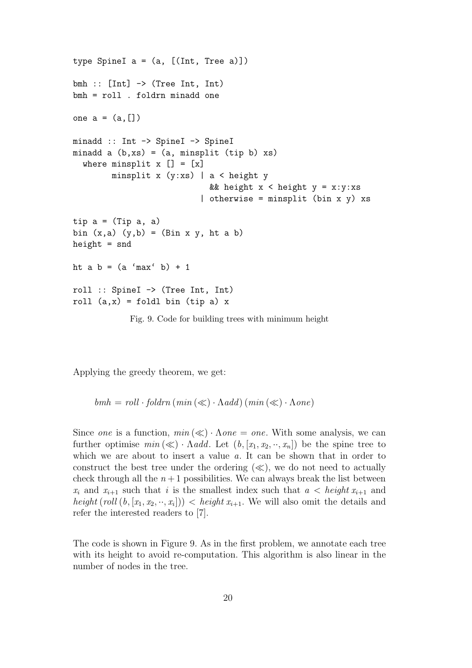```
type SpineI a = (a, [(Int, Tree a)])bmh :: [Int] \rightarrow (Tree Int, Int)bmh = roll . foldrn minadd one
one a = (a, [])minadd :: Int -> SpineI -> SpineI
minadd a (b, xs) = (a, minsplit (tip b) xs)where minsplit x [] = [x]minsplit x (y:xs) | a < height y
                             && height x < height y = x:y:xs| otherwise = minsplit (bin x y) xstip a = (Tip a, a)bin (x,a) (y,b) = (Bin x y, ht a b)height = snd
ht a b = (a \text{ 'max' } b) + 1roll :: SpineI -> (Tree Int, Int)
roll (a,x) = foldl bin (tip a) x
```
Fig. 9. Code for building trees with minimum height

Applying the greedy theorem, we get:

 $bmh = roll \cdot foldrn \, (min \, (\ll) \cdot \Lambda add) \, (min \, (\ll) \cdot \Lambda one)$ 

Since one is a function,  $min(\ll) \cdot \Lambda one = one$ . With some analysis, we can further optimise  $min(\ll) \cdot \Lambda add$ . Let  $(b, [x_1, x_2, \cdots, x_n])$  be the spine tree to which we are about to insert a value a. It can be shown that in order to construct the best tree under the ordering  $(\ll)$ , we do not need to actually check through all the  $n+1$  possibilities. We can always break the list between  $x_i$  and  $x_{i+1}$  such that i is the smallest index such that  $a < height x_{i+1}$  and height  $\text{(roll } (b, [x_1, x_2, \cdots, x_i])) < \text{height } x_{i+1}$ . We will also omit the details and refer the interested readers to [7].

The code is shown in Figure 9. As in the first problem, we annotate each tree with its height to avoid re-computation. This algorithm is also linear in the number of nodes in the tree.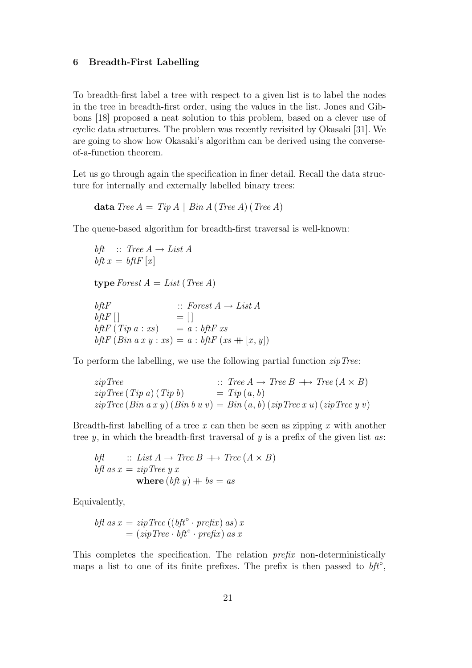#### 6 Breadth-First Labelling

To breadth-first label a tree with respect to a given list is to label the nodes in the tree in breadth-first order, using the values in the list. Jones and Gibbons [18] proposed a neat solution to this problem, based on a clever use of cyclic data structures. The problem was recently revisited by Okasaki [31]. We are going to show how Okasaki's algorithm can be derived using the converseof-a-function theorem.

Let us go through again the specification in finer detail. Recall the data structure for internally and externally labelled binary trees:

data Tree  $A = Tip A | Bin A (Tree A) (Tree A)$ 

The queue-based algorithm for breadth-first traversal is well-known:

```
bft \therefore Tree A \rightarrow List Abft x = bftF [x]type Forest A = List (Tree A)
bftF \qquad :: \text{ Forest } A \to \text{List } AbftF [ ] = [ ]
\oint t F(Tip a : xs) = a : b f t F x sbftF (Bin a x y : xs) = a : bftF (xs ++ [x, y])
```
To perform the labelling, we use the following partial function  $zipTree$ :

```
zipTree :: Tree A \rightarrow Tree B \rightarrow Tree (A \times B)zipTree(Tip a) (Tip b) = Tip(a, b)\sin Tree (Bin a x y) (Bin b y v) = Bin (a, b) (zipTree x y) (zipTree y v)
```
Breadth-first labelling of a tree x can then be seen as zipping x with another tree  $y$ , in which the breadth-first traversal of  $y$  is a prefix of the given list  $as$ :

$$
b\mathit{fl} \qquad :: \text{ List } A \to \text{Tree } B \; \longrightarrow \text{Tree } (A \times B)
$$
\n
$$
b\mathit{fl} \text{ as } x = \text{zipTree } y \text{ x}
$$
\n
$$
\text{where } (b\mathit{ft } y) + bs = as
$$

Equivalently,

$$
bf \ as \ x = zip \ Tree \ ((bft° \cdot prefix) \ as) \ x
$$
  
=  $(zip \ Tree \cdot bft° \cdot prefix) \ as \ x$ 

This completes the specification. The relation prefix non-deterministically maps a list to one of its finite prefixes. The prefix is then passed to  $bft^{\circ}$ ,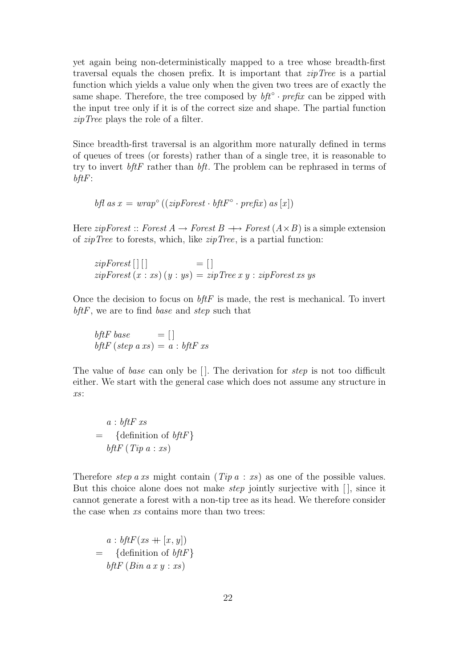yet again being non-deterministically mapped to a tree whose breadth-first traversal equals the chosen prefix. It is important that  $zipTree$  is a partial function which yields a value only when the given two trees are of exactly the same shape. Therefore, the tree composed by  $bf^{\circ} \cdot prefix$  can be zipped with the input tree only if it is of the correct size and shape. The partial function zipTree plays the role of a filter.

Since breadth-first traversal is an algorithm more naturally defined in terms of queues of trees (or forests) rather than of a single tree, it is reasonable to try to invert  $bf$  FHF rather than  $bf$ . The problem can be rephrased in terms of  $b$ ft $F$ :

$$
bf \ as \ x = \ wrap^{\circ} ((zip Forest \cdot \textit{bftF}^{\circ} \cdot \textit{prefix}) \ as \ [x])
$$

Here *zipForest* :: Forest  $A \rightarrow Forest B \rightarrow Forest (A \times B)$  is a simple extension of  $zipTree$  to forests, which, like  $zipTree$ , is a partial function:

 $zip Forest []$  [ ] = [ ]  $zip Forest(x:xs)(y:ys) = zipTree x y : zipForest x s y s$ 

Once the decision to focus on  $\hat{b}$ ft is made, the rest is mechanical. To invert bftF, we are to find base and step such that

bftF base  $= []$ bftF (step a xs) =  $a:$  bftF xs

The value of base can only be  $\Box$ . The derivation for step is not too difficult either. We start with the general case which does not assume any structure in xs:

$$
a: bftF\ xs
$$
  
= {definition of  $bftF$ }  

$$
bftF(Tip\ a: xs)
$$

Therefore step a xs might contain  $(Tip a : xs)$  as one of the possible values. But this choice alone does not make *step* jointly surjective with  $\vert \vert$ , since it cannot generate a forest with a non-tip tree as its head. We therefore consider the case when xs contains more than two trees:

$$
a: b\mathit{ftfF}(xs + [x, y])
$$
  
= {definition of  $b\mathit{ftfF}$ }  
 $b\mathit{ftfF}(Bin a x y : xs)$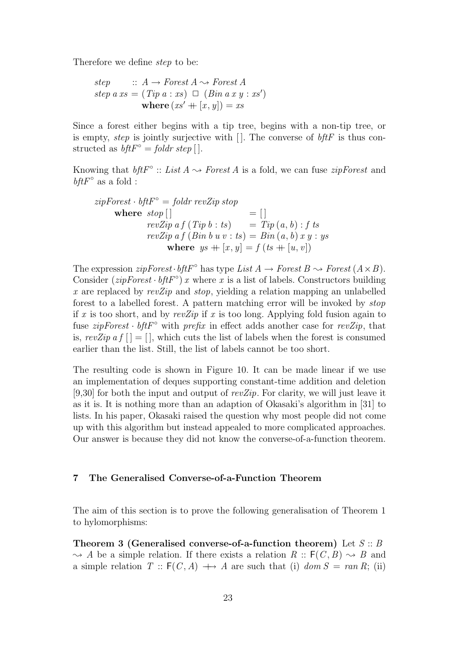Therefore we define step to be:

step  $:: A \rightarrow Forest A \rightsquigarrow Forest A$  $step\ a\ xs = (Tip\ a:xs) \ \Box \ (Bin\ a\ x\ y:xs')$ where  $(xs' + [x, y]) = xs$ 

Since a forest either begins with a tip tree, begins with a non-tip tree, or is empty, step is jointly surjective with  $\Box$ . The converse of  $b$ ftF is thus constructed as  $\textit{bftF}^{\circ} = \textit{foldr step}$  [].

Knowing that  $\textit{bftF}^{\circ} :: \textit{List } A \rightarrow \textit{Forest } A$  is a fold, we can fuse  $\textit{zipForest}$  and  $\mathit{bftF}^\circ$  as a fold :

$$
zipForest \cdot bftF^{\circ} = foldr \, revZip \, stop
$$
\n
$$
\begin{array}{rcl}\n&= [] \\
\text{where } stop [] &= [] \\
revZip \, af \, (Tip \, b : ts) &= Tip \, (a, b) : f \, ts \\
revZip \, af \, (Bin \, b \, u \, v : ts) &= Bin \, (a, b) \, x \, y : ys \\
\text{where } ys + [x, y] = f \, (ts + [u, v])\n\end{array}
$$

The expression  $zip Forest \cdot bftF^{\circ}$  has type  $List A \rightarrow Forest B \rightsquigarrow Forest (A \times B)$ . Consider  $(zipForest \cdot bftF°)$  x where x is a list of labels. Constructors building x are replaced by  $revZip$  and  $stop$ , yielding a relation mapping an unlabelled forest to a labelled forest. A pattern matching error will be invoked by stop if x is too short, and by revZip if x is too long. Applying fold fusion again to fuse  $zip Forest \cdot bftF°$  with prefix in effect adds another case for revZip, that is,  $revZip a f$  | | = | |, which cuts the list of labels when the forest is consumed earlier than the list. Still, the list of labels cannot be too short.

The resulting code is shown in Figure 10. It can be made linear if we use an implementation of deques supporting constant-time addition and deletion [9,30] for both the input and output of  $revZip$ . For clarity, we will just leave it as it is. It is nothing more than an adaption of Okasaki's algorithm in [31] to lists. In his paper, Okasaki raised the question why most people did not come up with this algorithm but instead appealed to more complicated approaches. Our answer is because they did not know the converse-of-a-function theorem.

# 7 The Generalised Converse-of-a-Function Theorem

The aim of this section is to prove the following generalisation of Theorem 1 to hylomorphisms:

Theorem 3 (Generalised converse-of-a-function theorem) Let  $S :: B$  $\rightsquigarrow$  A be a simple relation. If there exists a relation  $R :: F(C, B) \rightsquigarrow B$  and a simple relation  $T :: F(C, A) \longrightarrow A$  are such that (i) dom  $S = ran R$ ; (ii)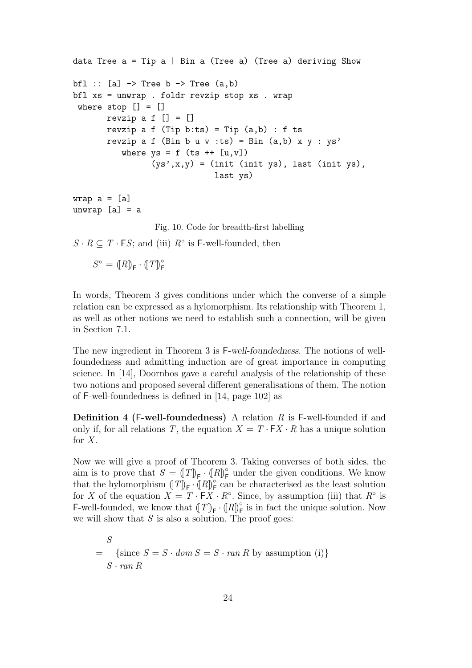```
data Tree a = Tip a | Bin a (Tree a) (Tree a) deriving Showbfl :: [a] \rightarrow Tree b \rightarrow Tree (a,b)
bfl xs = unwrap . foldr revzip stop xs . wrap
where stop [] = []revzip a f [] = []revzip a f (Tip b:ts) = Tip (a,b) : f tsrevzip a f (Bin b u v :ts) = Bin (a,b) x y : ys'
          where ys = f (ts ++ [u,v])(sys', x, y) = (init (init ys), last (init ys),last ys)
```
wrap  $a = [a]$ unwrap [a] = a

Fig. 10. Code for breadth-first labelling

 $S \cdot R \subseteq T \cdot FS$ ; and (iii)  $R^{\circ}$  is F-well-founded, then

 $S^{\circ} = (\llbracket R \rrbracket_{\mathsf{F}} \cdot (\llbracket T \rrbracket_{\mathsf{F}}^{\circ})$ 

In words, Theorem 3 gives conditions under which the converse of a simple relation can be expressed as a hylomorphism. Its relationship with Theorem 1, as well as other notions we need to establish such a connection, will be given in Section 7.1.

The new ingredient in Theorem 3 is F-well-foundedness. The notions of wellfoundedness and admitting induction are of great importance in computing science. In [14], Doornbos gave a careful analysis of the relationship of these two notions and proposed several different generalisations of them. The notion of F-well-foundedness is defined in [14, page 102] as

**Definition 4 (F-well-foundedness)** A relation  $R$  is F-well-founded if and only if, for all relations T, the equation  $X = T \cdot FX \cdot R$  has a unique solution for  $X$ .

Now we will give a proof of Theorem 3. Taking converses of both sides, the aim is to prove that  $S = (T)_{\mathsf{F}} \cdot (R)_{\mathsf{F}}^{\circ}$  under the given conditions. We know that the hylomorphism  $(T)_{\mathsf{F}} \cdot (R)_{\mathsf{F}}^{\circ}$  can be characterised as the least solution for X of the equation  $X = T \cdot \mathsf{F} X \cdot R^{\circ}$ . Since, by assumption (iii) that  $R^{\circ}$  is F-well-founded, we know that  $(T)_{\mathsf{F}} \cdot (R)_{\mathsf{F}}^{\circ}$  is in fact the unique solution. Now we will show that  $S$  is also a solution. The proof goes:

S  $=$  {since  $S = S \cdot dom S = S \cdot ran R$  by assumption (i)}  $S \cdot ran R$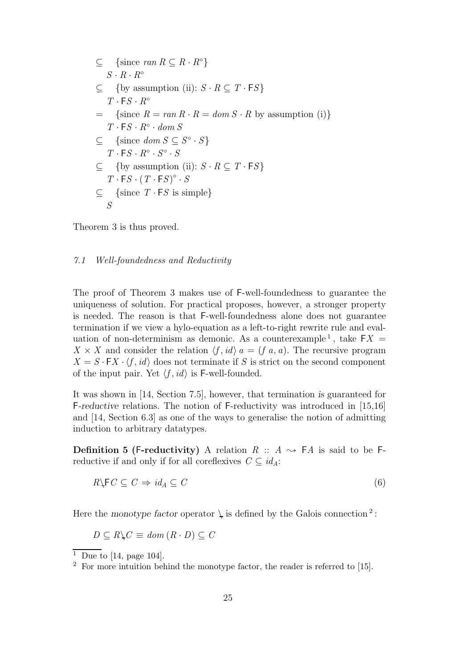$$
\subseteq \{\text{since ran } R \subseteq R \cdot R^{\circ}\}\
$$
  
\n
$$
S \cdot R \cdot R^{\circ}
$$
  
\n
$$
\subseteq \{ \text{by assumption (ii): } S \cdot R \subseteq T \cdot FS \}
$$
  
\n
$$
T \cdot FS \cdot R^{\circ}
$$
  
\n
$$
= \{\text{since } R = ran R \cdot R = dom S \cdot R \text{ by assumption (i)} \}
$$
  
\n
$$
T \cdot FS \cdot R^{\circ} \cdot dom S
$$
  
\n
$$
\subseteq \{\text{since } dom S \subseteq S^{\circ} \cdot S \}
$$
  
\n
$$
T \cdot FS \cdot R^{\circ} \cdot S^{\circ} \cdot S
$$
  
\n
$$
\subseteq \{\text{by assumption (ii): } S \cdot R \subseteq T \cdot FS \}
$$
  
\n
$$
T \cdot FS \cdot (T \cdot FS)^{\circ} \cdot S
$$
  
\n
$$
\subseteq \{\text{since } T \cdot FS \text{ is simple}\}
$$

Theorem 3 is thus proved.

## 7.1 Well-foundedness and Reductivity

The proof of Theorem 3 makes use of F-well-foundedness to guarantee the uniqueness of solution. For practical proposes, however, a stronger property is needed. The reason is that F-well-foundedness alone does not guarantee termination if we view a hylo-equation as a left-to-right rewrite rule and evaluation of non-determinism as demonic. As a counterexample<sup>1</sup>, take  $\mathsf{F} X =$  $X \times X$  and consider the relation  $\langle f, id \rangle$   $a = (f \, a, a)$ . The recursive program  $X = S \cdot \mathsf{F} X \cdot \langle f, id \rangle$  does not terminate if S is strict on the second component of the input pair. Yet  $\langle f, id \rangle$  is F-well-founded.

It was shown in [14, Section 7.5], however, that termination is guaranteed for F-reductive relations. The notion of F-reductivity was introduced in [15,16] and [14, Section 6.3] as one of the ways to generalise the notion of admitting induction to arbitrary datatypes.

**Definition 5 (F-reductivity)** A relation  $R :: A \rightsquigarrow F A$  is said to be Freductive if and only if for all coreflexives  $C \subseteq id_A$ :

$$
R \backslash F C \subseteq C \Rightarrow id_A \subseteq C \tag{6}
$$

Here the monotype factor operator  $\downarrow$  is defined by the Galois connection<sup>2</sup>:

$$
D \subseteq R \backslash C \equiv \text{dom}(R \cdot D) \subseteq C
$$

 $\overline{1}$  Due to [14, page 104].

 $2$  For more intuition behind the monotype factor, the reader is referred to [15].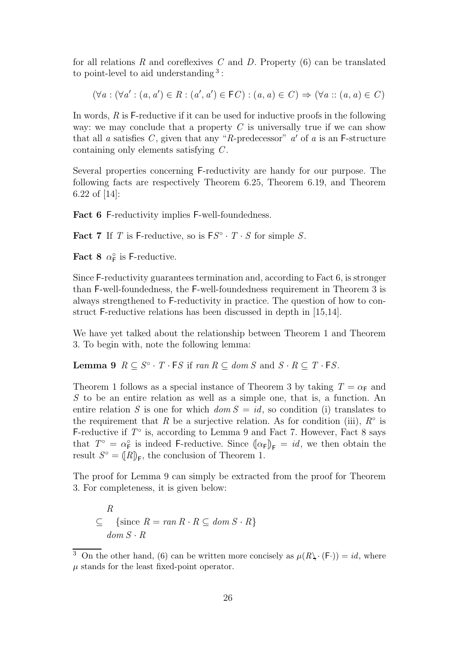for all relations  $R$  and coreflexives  $C$  and  $D$ . Property  $(6)$  can be translated to point-level to aid understanding<sup>3</sup>:

$$
(\forall a: (\forall a': (a, a') \in R: (a', a') \in \mathsf{F}C): (a, a) \in C) \Rightarrow (\forall a: (a, a) \in C)
$$

In words,  $R$  is  $F$ -reductive if it can be used for inductive proofs in the following way: we may conclude that a property  $C$  is universally true if we can show that all a satisfies C, given that any "R-predecessor"  $a'$  of a is an F-structure containing only elements satisfying C .

Several properties concerning F-reductivity are handy for our purpose. The following facts are respectively Theorem 6.25, Theorem 6.19, and Theorem 6.22 of [14]:

Fact 6 F-reductivity implies F-well-foundedness.

Fact 7 If T is F-reductive, so is  $FS^{\circ} \cdot T \cdot S$  for simple S.

**Fact 8**  $\alpha_{\mathsf{F}}^{\circ}$  is F-reductive.

Since F-reductivity guarantees termination and, according to Fact 6, is stronger than F-well-foundedness, the F-well-foundedness requirement in Theorem 3 is always strengthened to F-reductivity in practice. The question of how to construct F-reductive relations has been discussed in depth in [15,14].

We have yet talked about the relationship between Theorem 1 and Theorem 3. To begin with, note the following lemma:

**Lemma 9**  $R \subseteq S^{\circ} \cdot T \cdot FS$  if  $ran R \subseteq dom S$  and  $S \cdot R \subseteq T \cdot FS$ .

Theorem 1 follows as a special instance of Theorem 3 by taking  $T = \alpha_F$  and S to be an entire relation as well as a simple one, that is, a function. An entire relation S is one for which  $dom S = id$ , so condition (i) translates to the requirement that R be a surjective relation. As for condition (iii),  $R^{\circ}$  is F-reductive if  $T^{\circ}$  is, according to Lemma 9 and Fact 7. However, Fact 8 says that  $T^{\circ} = \alpha_{\mathsf{F}}^{\circ}$  is indeed F-reductive. Since  $(\alpha_{\mathsf{F}})_{\mathsf{F}} = id$ , we then obtain the result  $S^{\circ} = ([R]_F$ , the conclusion of Theorem 1.

The proof for Lemma 9 can simply be extracted from the proof for Theorem 3. For completeness, it is given below:

$$
\subseteq R
$$
  
 
$$
\subseteq \{ \text{since } R = \text{ran } R \cdot R \subseteq \text{dom } S \cdot R \}
$$
  
 
$$
\text{dom } S \cdot R
$$

<sup>&</sup>lt;sup>3</sup> On the other hand, (6) can be written more concisely as  $\mu(R\setminus (F\cdot)) = id$ , where  $\mu$  stands for the least fixed-point operator.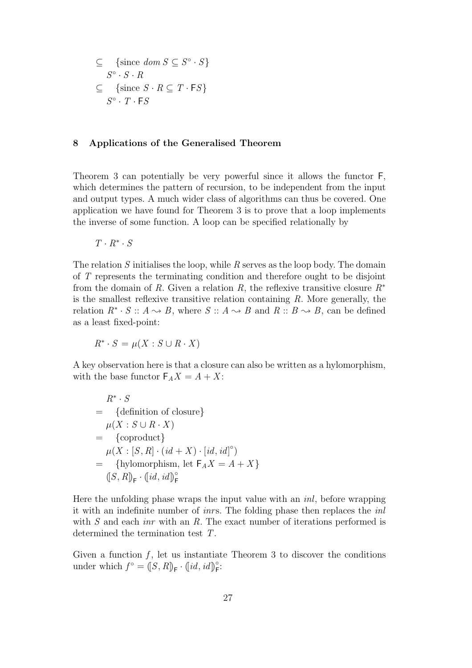$$
\subseteq \{\text{since } \text{dom } S \subseteq S^\circ \cdot S\}
$$

$$
S^\circ \cdot S \cdot R
$$

$$
\subseteq \{\text{since } S \cdot R \subseteq T \cdot \text{FS}\}
$$

$$
S^\circ \cdot T \cdot \text{FS}
$$

# 8 Applications of the Generalised Theorem

Theorem 3 can potentially be very powerful since it allows the functor F, which determines the pattern of recursion, to be independent from the input and output types. A much wider class of algorithms can thus be covered. One application we have found for Theorem 3 is to prove that a loop implements the inverse of some function. A loop can be specified relationally by

$$
T\cdot R^*\cdot S
$$

The relation  $S$  initialises the loop, while  $R$  serves as the loop body. The domain of T represents the terminating condition and therefore ought to be disjoint from the domain of R. Given a relation R, the reflexive transitive closure  $R^*$ is the smallest reflexive transitive relation containing  $R$ . More generally, the relation  $R^* \cdot S :: A \leadsto B$ , where  $S :: A \leadsto B$  and  $R :: B \leadsto B$ , can be defined as a least fixed-point:

$$
R^* \cdot S = \mu(X : S \cup R \cdot X)
$$

A key observation here is that a closure can also be written as a hylomorphism, with the base functor  $F_A X = A + X$ :

$$
R^* \cdot S
$$
  
= {definition of closure}  

$$
\mu(X : S \cup R \cdot X)
$$
  
= {coproduct}  

$$
\mu(X : [S, R] \cdot (id + X) \cdot [id, id]^\circ)
$$
  
= {hylomorphism, let  $F_A X = A + X$ }  

$$
([S, R]_F \cdot (id, id]_F^\circ
$$

Here the unfolding phase wraps the input value with an inl, before wrapping it with an indefinite number of *inrs*. The folding phase then replaces the  $inl$ with  $S$  and each *inr* with an  $R$ . The exact number of iterations performed is determined the termination test T.

Given a function  $f$ , let us instantiate Theorem 3 to discover the conditions under which  $f^{\circ} = ([S, R]_{\mathsf{F}} \cdot (id, id]_{\mathsf{F}}^{\circ}$ :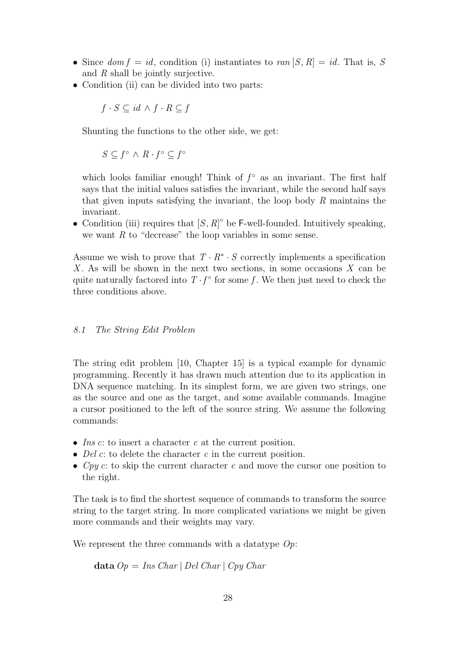- Since  $dom f = id$ , condition (i) instantiates to  $ran [S, R] = id$ . That is, S and  $R$  shall be jointly surjective.
- Condition (ii) can be divided into two parts:

$$
f \cdot S \subseteq id \land f \cdot R \subseteq f
$$

Shunting the functions to the other side, we get:

$$
S \subseteq f^{\circ} \wedge R \cdot f^{\circ} \subseteq f^{\circ}
$$

which looks familiar enough! Think of  $f^{\circ}$  as an invariant. The first half says that the initial values satisfies the invariant, while the second half says that given inputs satisfying the invariant, the loop body  $R$  maintains the invariant.

• Condition (iii) requires that  $[S, R]^\circ$  be F-well-founded. Intuitively speaking, we want  $R$  to "decrease" the loop variables in some sense.

Assume we wish to prove that  $T \cdot R^* \cdot S$  correctly implements a specification X. As will be shown in the next two sections, in some occasions  $X$  can be quite naturally factored into  $T \cdot f^{\circ}$  for some f. We then just need to check the three conditions above.

# 8.1 The String Edit Problem

The string edit problem [10, Chapter 15] is a typical example for dynamic programming. Recently it has drawn much attention due to its application in DNA sequence matching. In its simplest form, we are given two strings, one as the source and one as the target, and some available commands. Imagine a cursor positioned to the left of the source string. We assume the following commands:

- Ins  $c$ : to insert a character  $c$  at the current position.
- Del  $c$ : to delete the character  $c$  in the current position.
- Cpy c: to skip the current character c and move the cursor one position to the right.

The task is to find the shortest sequence of commands to transform the source string to the target string. In more complicated variations we might be given more commands and their weights may vary.

We represent the three commands with a datatype  $Op$ :

data  $Op = Ins Char | Del Char | Cpy Char$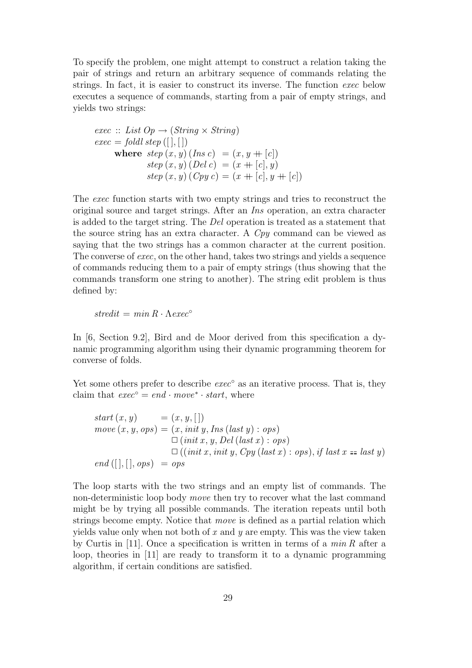To specify the problem, one might attempt to construct a relation taking the pair of strings and return an arbitrary sequence of commands relating the strings. In fact, it is easier to construct its inverse. The function exec below executes a sequence of commands, starting from a pair of empty strings, and yields two strings:

exec :: List 
$$
Op \rightarrow (String \times String)
$$

\nexec = fold  $step([], [])$ 

\nwhere  $step(x, y)$  (Ins  $c$ ) =  $(x, y + [c])$ 

\n $step(x, y)$  (Del  $c$ ) =  $(x + [c], y)$ 

\n $step(x, y)$  (Cpy  $c$ ) =  $(x + [c], y + [c])$ 

The exec function starts with two empty strings and tries to reconstruct the original source and target strings. After an Ins operation, an extra character is added to the target string. The Del operation is treated as a statement that the source string has an extra character. A Cpy command can be viewed as saying that the two strings has a common character at the current position. The converse of exec, on the other hand, takes two strings and yields a sequence of commands reducing them to a pair of empty strings (thus showing that the commands transform one string to another). The string edit problem is thus defined by:

stredit = min  $R \cdot \Lambda$ exec°

In [6, Section 9.2], Bird and de Moor derived from this specification a dynamic programming algorithm using their dynamic programming theorem for converse of folds.

Yet some others prefer to describe  $exec^{\circ}$  as an iterative process. That is, they claim that  $exec^{\circ} = end \cdot move^* \cdot start$ , where

start 
$$
(x, y)
$$
 =  $(x, y, [])$   
\nmove  $(x, y, ops) = (x, init y, Ins (last y) : ops)$   
\n $\square (init x, y, Del (last x) : ops)$   
\n $\square ((init x, init y, Cpy (last x) : ops), if last x == last y)$   
\nend  $([],[], ops) = ops$ 

The loop starts with the two strings and an empty list of commands. The non-deterministic loop body move then try to recover what the last command might be by trying all possible commands. The iteration repeats until both strings become empty. Notice that move is defined as a partial relation which yields value only when not both of  $x$  and  $y$  are empty. This was the view taken by Curtis in [11]. Once a specification is written in terms of a  $min R$  after a loop, theories in [11] are ready to transform it to a dynamic programming algorithm, if certain conditions are satisfied.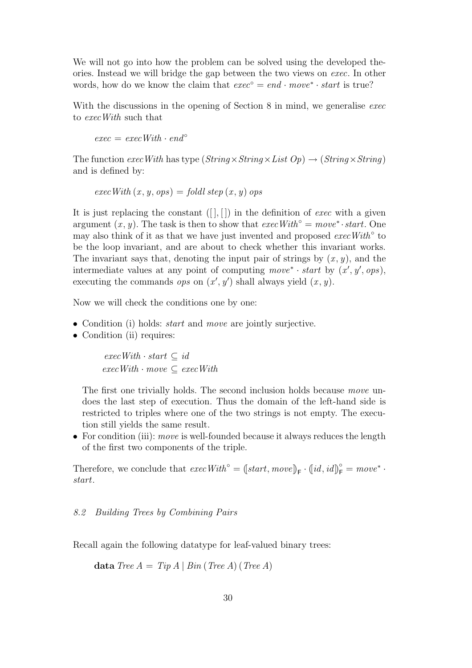We will not go into how the problem can be solved using the developed theories. Instead we will bridge the gap between the two views on exec. In other words, how do we know the claim that  $exec^{\circ} = end \cdot move^* \cdot start$  is true?

With the discussions in the opening of Section 8 in mind, we generalise exect to execWith such that

 $exec = execWith \cdot end^{\circ}$ 

The function exec With has type ( $String \times String \times Lit$  Op)  $\rightarrow (String \times String)$ and is defined by:

$$
execWith (x, y, ops) = foldl step (x, y) ops
$$

It is just replacing the constant  $([ , [ ] )$  in the definition of *exec* with a given argument  $(x, y)$ . The task is then to show that  $execWith° = move^* \cdot start$ . One may also think of it as that we have just invented and proposed  $execWith<sup>°</sup>$  to be the loop invariant, and are about to check whether this invariant works. The invariant says that, denoting the input pair of strings by  $(x, y)$ , and the intermediate values at any point of computing  $move^* \cdot start$  by  $(x', y', ops)$ , executing the commands *ops* on  $(x', y')$  shall always yield  $(x, y)$ .

Now we will check the conditions one by one:

- Condition (i) holds: *start* and *move* are jointly surjective.
- Condition (ii) requires:

 $execWith \cdot start \subseteq id$  $execWith \cdot move \subseteq execWith$ 

The first one trivially holds. The second inclusion holds because move undoes the last step of execution. Thus the domain of the left-hand side is restricted to triples where one of the two strings is not empty. The execution still yields the same result.

• For condition (iii): *move* is well-founded because it always reduces the length of the first two components of the triple.

Therefore, we conclude that  $execWith^{\circ} = (start, move)_{F} \cdot (id, id)_{F}^{\circ} = move^{*} \cdot$ start.

# 8.2 Building Trees by Combining Pairs

Recall again the following datatype for leaf-valued binary trees:

data Tree  $A = Tip A | Bin (Tree A) (Tree A)$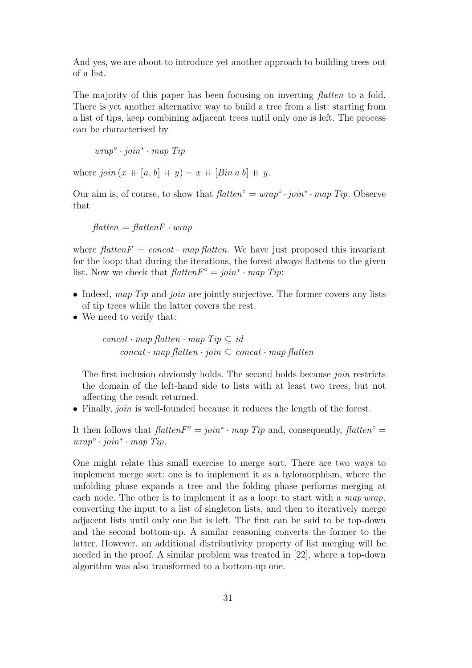And yes, we are about to introduce yet another approach to building trees out of a list.

The majority of this paper has been focusing on inverting *flatten* to a fold. There is yet another alternative way to build a tree from a list: starting from a list of tips, keep combining adjacent trees until only one is left. The process can be characterised by

wrap◦ · join<sup>∗</sup> · map Tip

where  $join(x + [a, b] + y) = x + [Bin a b] + y$ .

Our aim is, of course, to show that  $\text{flatten}^\circ = \text{wrap}^\circ \cdot \text{join}^* \cdot \text{map } \text{ Tip}.$  Observe that

 $f$ *latten* =  $f$ *latten*  $\overline{F} \cdot w$ *rap* 

where  $\text{flatten}F = \text{concat} \cdot \text{map} \text{ flatten}$ . We have just proposed this invariant for the loop: that during the iterations, the forest always flattens to the given list. Now we check that  $\text{flatten} F^{\circ} = \text{join}^* \cdot \text{map } \text{Tip}:$ 

- Indeed, map Tip and join are jointly surjective. The former covers any lists of tip trees while the latter covers the rest.
- We need to verify that:

concat · map flatten · map  $Tip \subseteq id$  $concat \cdot map$  flatten  $\cdot join \subseteq concat \cdot map$  flatten

The first inclusion obviously holds. The second holds because *join* restricts the domain of the left-hand side to lists with at least two trees, but not affecting the result returned.

• Finally, *join* is well-founded because it reduces the length of the forest.

It then follows that  $\text{flatten} \mathbb{F}^\circ = \text{join}^* \cdot \text{map } \text{Tip}$  and, consequently,  $\text{flatten}^\circ =$ wrap◦ · join<sup>∗</sup> · map Tip.

One might relate this small exercise to merge sort. There are two ways to implement merge sort: one is to implement it as a hylomorphism, where the unfolding phase expands a tree and the folding phase performs merging at each node. The other is to implement it as a loop: to start with a map  $wrap$ , converting the input to a list of singleton lists, and then to iteratively merge adjacent lists until only one list is left. The first can be said to be top-down and the second bottom-up. A similar reasoning converts the former to the latter. However, an additional distributivity property of list merging will be needed in the proof. A similar problem was treated in [22], where a top-down algorithm was also transformed to a bottom-up one.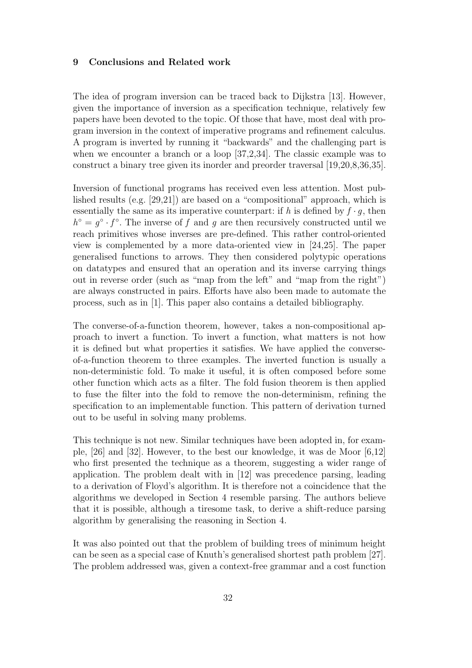## 9 Conclusions and Related work

The idea of program inversion can be traced back to Dijkstra [13]. However, given the importance of inversion as a specification technique, relatively few papers have been devoted to the topic. Of those that have, most deal with program inversion in the context of imperative programs and refinement calculus. A program is inverted by running it "backwards" and the challenging part is when we encounter a branch or a loop [37,2,34]. The classic example was to construct a binary tree given its inorder and preorder traversal [19,20,8,36,35].

Inversion of functional programs has received even less attention. Most published results (e.g. [29,21]) are based on a "compositional" approach, which is essentially the same as its imperative counterpart: if h is defined by  $f \cdot q$ , then  $h^{\circ} = g^{\circ} \cdot f^{\circ}$ . The inverse of f and g are then recursively constructed until we reach primitives whose inverses are pre-defined. This rather control-oriented view is complemented by a more data-oriented view in [24,25]. The paper generalised functions to arrows. They then considered polytypic operations on datatypes and ensured that an operation and its inverse carrying things out in reverse order (such as "map from the left" and "map from the right") are always constructed in pairs. Efforts have also been made to automate the process, such as in [1]. This paper also contains a detailed bibliography.

The converse-of-a-function theorem, however, takes a non-compositional approach to invert a function. To invert a function, what matters is not how it is defined but what properties it satisfies. We have applied the converseof-a-function theorem to three examples. The inverted function is usually a non-deterministic fold. To make it useful, it is often composed before some other function which acts as a filter. The fold fusion theorem is then applied to fuse the filter into the fold to remove the non-determinism, refining the specification to an implementable function. This pattern of derivation turned out to be useful in solving many problems.

This technique is not new. Similar techniques have been adopted in, for example, [26] and [32]. However, to the best our knowledge, it was de Moor [6,12] who first presented the technique as a theorem, suggesting a wider range of application. The problem dealt with in [12] was precedence parsing, leading to a derivation of Floyd's algorithm. It is therefore not a coincidence that the algorithms we developed in Section 4 resemble parsing. The authors believe that it is possible, although a tiresome task, to derive a shift-reduce parsing algorithm by generalising the reasoning in Section 4.

It was also pointed out that the problem of building trees of minimum height can be seen as a special case of Knuth's generalised shortest path problem [27]. The problem addressed was, given a context-free grammar and a cost function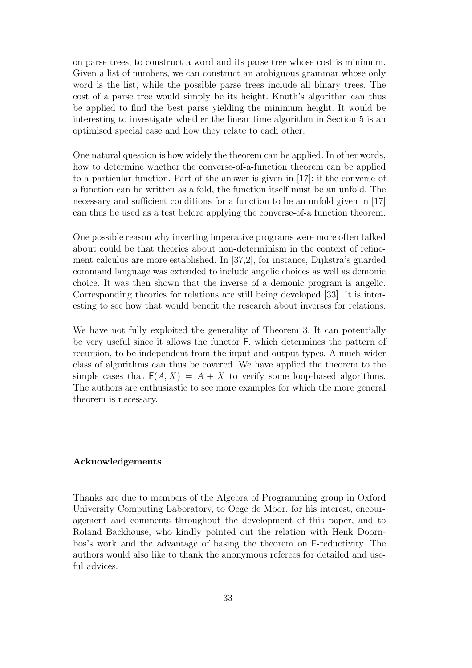on parse trees, to construct a word and its parse tree whose cost is minimum. Given a list of numbers, we can construct an ambiguous grammar whose only word is the list, while the possible parse trees include all binary trees. The cost of a parse tree would simply be its height. Knuth's algorithm can thus be applied to find the best parse yielding the minimum height. It would be interesting to investigate whether the linear time algorithm in Section 5 is an optimised special case and how they relate to each other.

One natural question is how widely the theorem can be applied. In other words, how to determine whether the converse-of-a-function theorem can be applied to a particular function. Part of the answer is given in [17]: if the converse of a function can be written as a fold, the function itself must be an unfold. The necessary and sufficient conditions for a function to be an unfold given in [17] can thus be used as a test before applying the converse-of-a function theorem.

One possible reason why inverting imperative programs were more often talked about could be that theories about non-determinism in the context of refinement calculus are more established. In [37,2], for instance, Dijkstra's guarded command language was extended to include angelic choices as well as demonic choice. It was then shown that the inverse of a demonic program is angelic. Corresponding theories for relations are still being developed [33]. It is interesting to see how that would benefit the research about inverses for relations.

We have not fully exploited the generality of Theorem 3. It can potentially be very useful since it allows the functor F, which determines the pattern of recursion, to be independent from the input and output types. A much wider class of algorithms can thus be covered. We have applied the theorem to the simple cases that  $F(A, X) = A + X$  to verify some loop-based algorithms. The authors are enthusiastic to see more examples for which the more general theorem is necessary.

### Acknowledgements

Thanks are due to members of the Algebra of Programming group in Oxford University Computing Laboratory, to Oege de Moor, for his interest, encouragement and comments throughout the development of this paper, and to Roland Backhouse, who kindly pointed out the relation with Henk Doornbos's work and the advantage of basing the theorem on F-reductivity. The authors would also like to thank the anonymous referees for detailed and useful advices.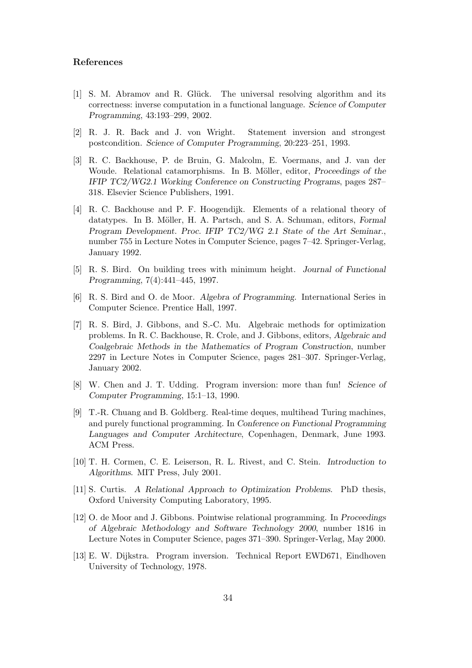## References

- [1] S. M. Abramov and R. Glück. The universal resolving algorithm and its correctness: inverse computation in a functional language. Science of Computer Programming, 43:193–299, 2002.
- [2] R. J. R. Back and J. von Wright. Statement inversion and strongest postcondition. Science of Computer Programming, 20:223–251, 1993.
- [3] R. C. Backhouse, P. de Bruin, G. Malcolm, E. Voermans, and J. van der Woude. Relational catamorphisms. In B. Möller, editor, *Proceedings of the* IFIP TC2/WG2.1 Working Conference on Constructing Programs, pages 287– 318. Elsevier Science Publishers, 1991.
- [4] R. C. Backhouse and P. F. Hoogendijk. Elements of a relational theory of datatypes. In B. Möller, H. A. Partsch, and S. A. Schuman, editors, Formal Program Development. Proc. IFIP TC2/WG 2.1 State of the Art Seminar., number 755 in Lecture Notes in Computer Science, pages 7–42. Springer-Verlag, January 1992.
- [5] R. S. Bird. On building trees with minimum height. Journal of Functional Programming, 7(4):441–445, 1997.
- [6] R. S. Bird and O. de Moor. Algebra of Programming. International Series in Computer Science. Prentice Hall, 1997.
- [7] R. S. Bird, J. Gibbons, and S.-C. Mu. Algebraic methods for optimization problems. In R. C. Backhouse, R. Crole, and J. Gibbons, editors, Algebraic and Coalgebraic Methods in the Mathematics of Program Construction, number 2297 in Lecture Notes in Computer Science, pages 281–307. Springer-Verlag, January 2002.
- [8] W. Chen and J. T. Udding. Program inversion: more than fun! Science of Computer Programming, 15:1–13, 1990.
- [9] T.-R. Chuang and B. Goldberg. Real-time deques, multihead Turing machines, and purely functional programming. In Conference on Functional Programming Languages and Computer Architecture, Copenhagen, Denmark, June 1993. ACM Press.
- [10] T. H. Cormen, C. E. Leiserson, R. L. Rivest, and C. Stein. Introduction to Algorithms. MIT Press, July 2001.
- [11] S. Curtis. A Relational Approach to Optimization Problems. PhD thesis, Oxford University Computing Laboratory, 1995.
- [12] O. de Moor and J. Gibbons. Pointwise relational programming. In Proceedings of Algebraic Methodology and Software Technology 2000, number 1816 in Lecture Notes in Computer Science, pages 371–390. Springer-Verlag, May 2000.
- [13] E. W. Dijkstra. Program inversion. Technical Report EWD671, Eindhoven University of Technology, 1978.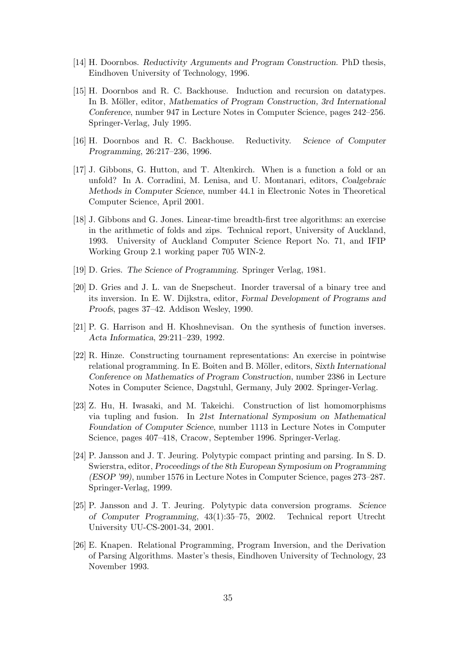- [14] H. Doornbos. Reductivity Arguments and Program Construction. PhD thesis, Eindhoven University of Technology, 1996.
- [15] H. Doornbos and R. C. Backhouse. Induction and recursion on datatypes. In B. Möller, editor, Mathematics of Program Construction, 3rd International Conference, number 947 in Lecture Notes in Computer Science, pages 242–256. Springer-Verlag, July 1995.
- [16] H. Doornbos and R. C. Backhouse. Reductivity. Science of Computer Programming, 26:217–236, 1996.
- [17] J. Gibbons, G. Hutton, and T. Altenkirch. When is a function a fold or an unfold? In A. Corradini, M. Lenisa, and U. Montanari, editors, Coalgebraic Methods in Computer Science, number 44.1 in Electronic Notes in Theoretical Computer Science, April 2001.
- [18] J. Gibbons and G. Jones. Linear-time breadth-first tree algorithms: an exercise in the arithmetic of folds and zips. Technical report, University of Auckland, 1993. University of Auckland Computer Science Report No. 71, and IFIP Working Group 2.1 working paper 705 WIN-2.
- [19] D. Gries. The Science of Programming. Springer Verlag, 1981.
- [20] D. Gries and J. L. van de Snepscheut. Inorder traversal of a binary tree and its inversion. In E. W. Dijkstra, editor, Formal Development of Programs and Proofs, pages 37–42. Addison Wesley, 1990.
- [21] P. G. Harrison and H. Khoshnevisan. On the synthesis of function inverses. Acta Informatica, 29:211–239, 1992.
- [22] R. Hinze. Constructing tournament representations: An exercise in pointwise relational programming. In E. Boiten and B. Möller, editors, Sixth International Conference on Mathematics of Program Construction, number 2386 in Lecture Notes in Computer Science, Dagstuhl, Germany, July 2002. Springer-Verlag.
- [23] Z. Hu, H. Iwasaki, and M. Takeichi. Construction of list homomorphisms via tupling and fusion. In 21st International Symposium on Mathematical Foundation of Computer Science, number 1113 in Lecture Notes in Computer Science, pages 407–418, Cracow, September 1996. Springer-Verlag.
- [24] P. Jansson and J. T. Jeuring. Polytypic compact printing and parsing. In S. D. Swierstra, editor, Proceedings of the 8th European Symposium on Programming (ESOP '99), number 1576 in Lecture Notes in Computer Science, pages 273–287. Springer-Verlag, 1999.
- [25] P. Jansson and J. T. Jeuring. Polytypic data conversion programs. Science of Computer Programming, 43(1):35–75, 2002. Technical report Utrecht University UU-CS-2001-34, 2001.
- [26] E. Knapen. Relational Programming, Program Inversion, and the Derivation of Parsing Algorithms. Master's thesis, Eindhoven University of Technology, 23 November 1993.